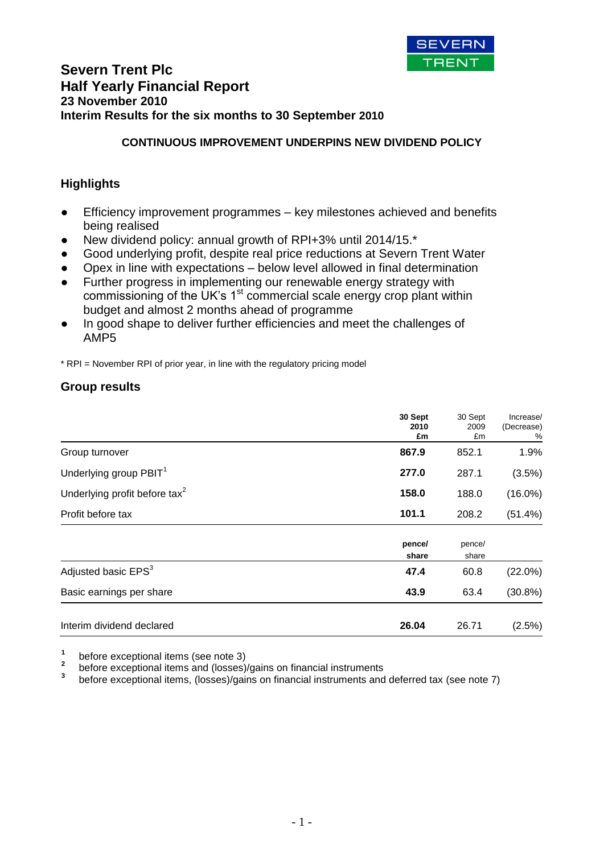

# **Severn Trent Plc Half Yearly Financial Report 23 November 2010 Interim Results for the six months to 30 September 2010**

# **CONTINUOUS IMPROVEMENT UNDERPINS NEW DIVIDEND POLICY**

# **Highlights**

- Efficiency improvement programmes key milestones achieved and benefits being realised
- New dividend policy: annual growth of RPI+3% until 2014/15.<sup>\*</sup>
- **●** Good underlying profit, despite real price reductions at Severn Trent Water
- Opex in line with expectations below level allowed in final determination
- Further progress in implementing our renewable energy strategy with commissioning of the UK's 1<sup>st</sup> commercial scale energy crop plant within budget and almost 2 months ahead of programme
- In good shape to deliver further efficiencies and meet the challenges of AMP5

\* RPI = November RPI of prior year, in line with the regulatory pricing model

# **Group results**

|                                           | 30 Sept<br>2010<br>£m | 30 Sept<br>2009<br>£m | Increase/<br>(Decrease)<br>% |
|-------------------------------------------|-----------------------|-----------------------|------------------------------|
| Group turnover                            | 867.9                 | 852.1                 | 1.9%                         |
| Underlying group PBIT <sup>1</sup>        | 277.0                 | 287.1                 | (3.5%)                       |
| Underlying profit before tax <sup>2</sup> | 158.0                 | 188.0                 | $(16.0\%)$                   |
| Profit before tax                         | 101.1                 | 208.2                 | (51.4%)                      |
|                                           | pence/<br>share       | pence/<br>share       |                              |
| Adjusted basic EPS <sup>3</sup>           | 47.4                  | 60.8                  | $(22.0\%)$                   |
| Basic earnings per share                  | 43.9                  | 63.4                  | (30.8%)                      |
| Interim dividend declared                 | 26.04                 | 26.71                 | (2.5%)                       |

**1** before exceptional items (see note 3)

**2** before exceptional items and (losses)/gains on financial instruments

**3** before exceptional items, (losses)/gains on financial instruments and deferred tax (see note 7)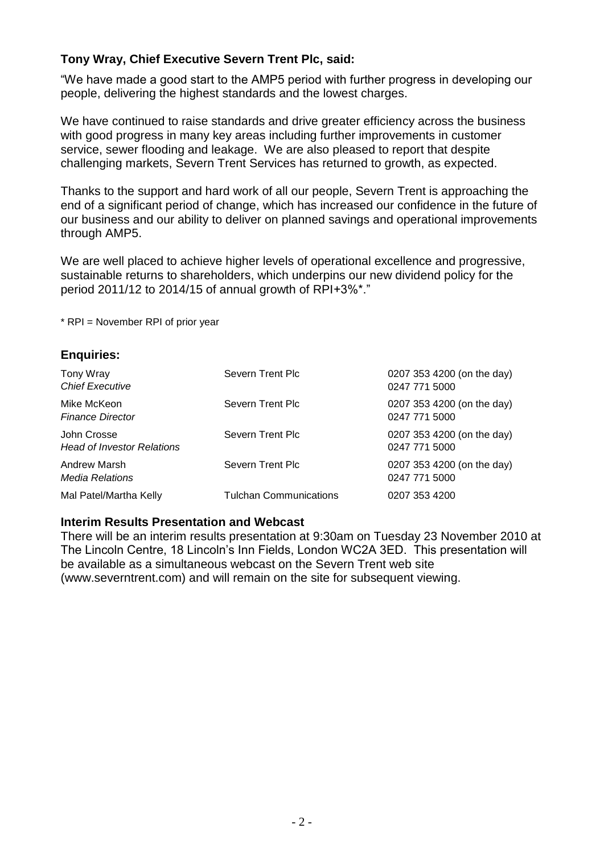# **Tony Wray, Chief Executive Severn Trent Plc, said:**

"We have made a good start to the AMP5 period with further progress in developing our people, delivering the highest standards and the lowest charges.

We have continued to raise standards and drive greater efficiency across the business with good progress in many key areas including further improvements in customer service, sewer flooding and leakage. We are also pleased to report that despite challenging markets, Severn Trent Services has returned to growth, as expected.

Thanks to the support and hard work of all our people, Severn Trent is approaching the end of a significant period of change, which has increased our confidence in the future of our business and our ability to deliver on planned savings and operational improvements through AMP5.

We are well placed to achieve higher levels of operational excellence and progressive, sustainable returns to shareholders, which underpins our new dividend policy for the period 2011/12 to 2014/15 of annual growth of RPI+3%\*."

\* RPI = November RPI of prior year

### **Enquiries:**

| Tony Wray<br><b>Chief Executive</b>              | Severn Trent Plc              | 0207 353 4200 (on the day)<br>0247 771 5000 |
|--------------------------------------------------|-------------------------------|---------------------------------------------|
| Mike McKeon<br><b>Finance Director</b>           | Severn Trent Plc              | 0207 353 4200 (on the day)<br>0247 771 5000 |
| John Crosse<br><b>Head of Investor Relations</b> | Severn Trent Plc              | 0207 353 4200 (on the day)<br>0247 771 5000 |
| Andrew Marsh<br>Media Relations                  | Severn Trent Plc              | 0207 353 4200 (on the day)<br>0247 771 5000 |
| Mal Patel/Martha Kelly                           | <b>Tulchan Communications</b> | 0207 353 4200                               |

### **Interim Results Presentation and Webcast**

There will be an interim results presentation at 9:30am on Tuesday 23 November 2010 at The Lincoln Centre, 18 Lincoln's Inn Fields, London WC2A 3ED. This presentation will be available as a simultaneous webcast on the Severn Trent web site (www.severntrent.com) and will remain on the site for subsequent viewing.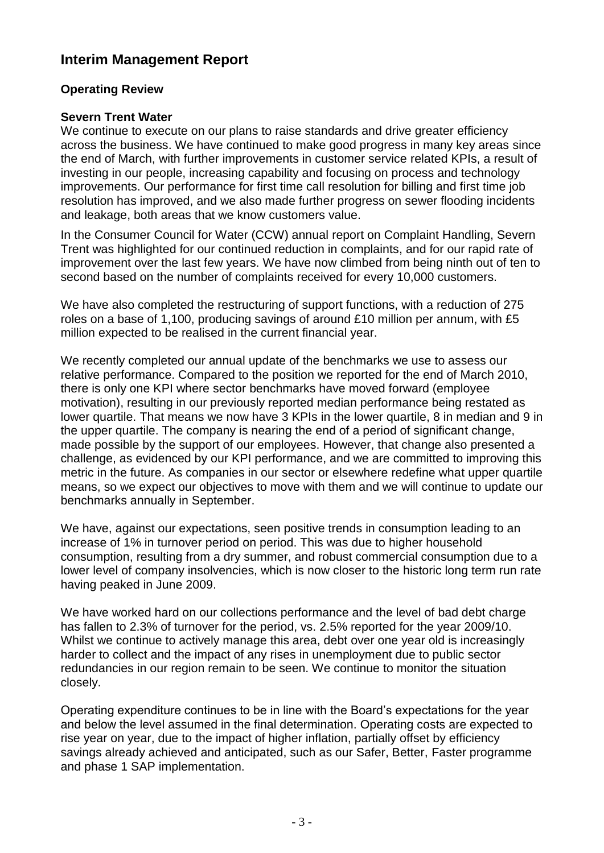# **Interim Management Report**

# **Operating Review**

# **Severn Trent Water**

We continue to execute on our plans to raise standards and drive greater efficiency across the business. We have continued to make good progress in many key areas since the end of March, with further improvements in customer service related KPIs, a result of investing in our people, increasing capability and focusing on process and technology improvements. Our performance for first time call resolution for billing and first time job resolution has improved, and we also made further progress on sewer flooding incidents and leakage, both areas that we know customers value.

In the Consumer Council for Water (CCW) annual report on Complaint Handling, Severn Trent was highlighted for our continued reduction in complaints, and for our rapid rate of improvement over the last few years. We have now climbed from being ninth out of ten to second based on the number of complaints received for every 10,000 customers.

We have also completed the restructuring of support functions, with a reduction of 275 roles on a base of 1,100, producing savings of around £10 million per annum, with £5 million expected to be realised in the current financial year.

We recently completed our annual update of the benchmarks we use to assess our relative performance. Compared to the position we reported for the end of March 2010, there is only one KPI where sector benchmarks have moved forward (employee motivation), resulting in our previously reported median performance being restated as lower quartile. That means we now have 3 KPIs in the lower quartile, 8 in median and 9 in the upper quartile. The company is nearing the end of a period of significant change, made possible by the support of our employees. However, that change also presented a challenge, as evidenced by our KPI performance, and we are committed to improving this metric in the future. As companies in our sector or elsewhere redefine what upper quartile means, so we expect our objectives to move with them and we will continue to update our benchmarks annually in September.

We have, against our expectations, seen positive trends in consumption leading to an increase of 1% in turnover period on period. This was due to higher household consumption, resulting from a dry summer, and robust commercial consumption due to a lower level of company insolvencies, which is now closer to the historic long term run rate having peaked in June 2009.

We have worked hard on our collections performance and the level of bad debt charge has fallen to 2.3% of turnover for the period, vs. 2.5% reported for the year 2009/10. Whilst we continue to actively manage this area, debt over one year old is increasingly harder to collect and the impact of any rises in unemployment due to public sector redundancies in our region remain to be seen. We continue to monitor the situation closely.

Operating expenditure continues to be in line with the Board's expectations for the year and below the level assumed in the final determination. Operating costs are expected to rise year on year, due to the impact of higher inflation, partially offset by efficiency savings already achieved and anticipated, such as our Safer, Better, Faster programme and phase 1 SAP implementation.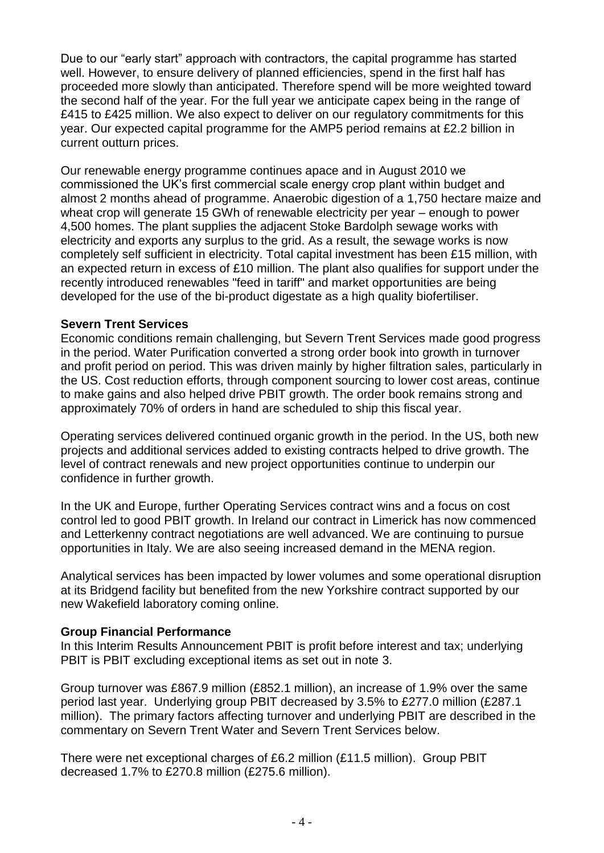Due to our "early start" approach with contractors, the capital programme has started well. However, to ensure delivery of planned efficiencies, spend in the first half has proceeded more slowly than anticipated. Therefore spend will be more weighted toward the second half of the year. For the full year we anticipate capex being in the range of £415 to £425 million. We also expect to deliver on our regulatory commitments for this year. Our expected capital programme for the AMP5 period remains at £2.2 billion in current outturn prices.

Our renewable energy programme continues apace and in August 2010 we commissioned the UK's first commercial scale energy crop plant within budget and almost 2 months ahead of programme. Anaerobic digestion of a 1,750 hectare maize and wheat crop will generate 15 GWh of renewable electricity per year – enough to power 4,500 homes. The plant supplies the adjacent Stoke Bardolph sewage works with electricity and exports any surplus to the grid. As a result, the sewage works is now completely self sufficient in electricity. Total capital investment has been £15 million, with an expected return in excess of £10 million. The plant also qualifies for support under the recently introduced renewables "feed in tariff" and market opportunities are being developed for the use of the bi-product digestate as a high quality biofertiliser.

### **Severn Trent Services**

Economic conditions remain challenging, but Severn Trent Services made good progress in the period. Water Purification converted a strong order book into growth in turnover and profit period on period. This was driven mainly by higher filtration sales, particularly in the US. Cost reduction efforts, through component sourcing to lower cost areas, continue to make gains and also helped drive PBIT growth. The order book remains strong and approximately 70% of orders in hand are scheduled to ship this fiscal year.

Operating services delivered continued organic growth in the period. In the US, both new projects and additional services added to existing contracts helped to drive growth. The level of contract renewals and new project opportunities continue to underpin our confidence in further growth.

In the UK and Europe, further Operating Services contract wins and a focus on cost control led to good PBIT growth. In Ireland our contract in Limerick has now commenced and Letterkenny contract negotiations are well advanced. We are continuing to pursue opportunities in Italy. We are also seeing increased demand in the MENA region.

Analytical services has been impacted by lower volumes and some operational disruption at its Bridgend facility but benefited from the new Yorkshire contract supported by our new Wakefield laboratory coming online.

# **Group Financial Performance**

In this Interim Results Announcement PBIT is profit before interest and tax; underlying PBIT is PBIT excluding exceptional items as set out in note 3.

Group turnover was £867.9 million (£852.1 million), an increase of 1.9% over the same period last year. Underlying group PBIT decreased by 3.5% to £277.0 million (£287.1 million). The primary factors affecting turnover and underlying PBIT are described in the commentary on Severn Trent Water and Severn Trent Services below.

There were net exceptional charges of £6.2 million (£11.5 million). Group PBIT decreased 1.7% to £270.8 million (£275.6 million).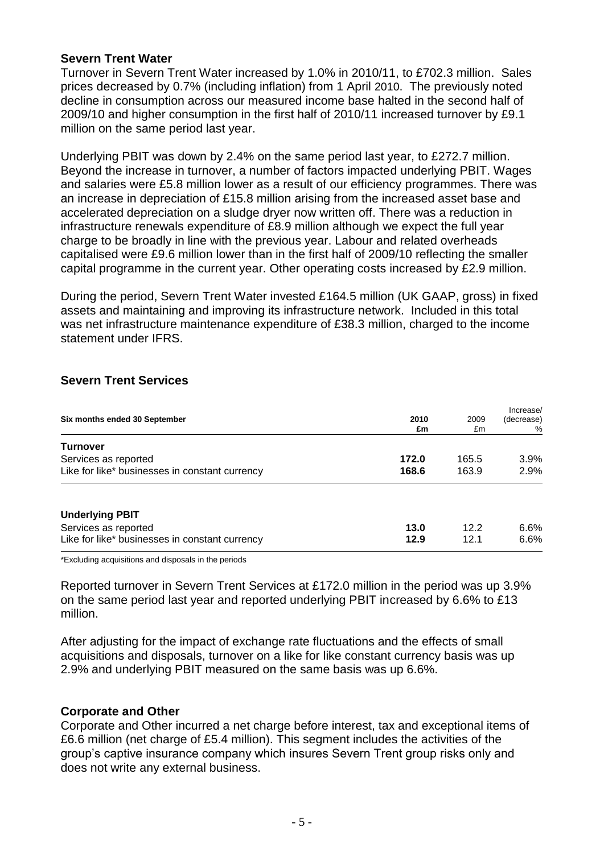## **Severn Trent Water**

Turnover in Severn Trent Water increased by 1.0% in 2010/11, to £702.3 million. Sales prices decreased by 0.7% (including inflation) from 1 April 2010. The previously noted decline in consumption across our measured income base halted in the second half of 2009/10 and higher consumption in the first half of 2010/11 increased turnover by £9.1 million on the same period last year.

Underlying PBIT was down by 2.4% on the same period last year, to £272.7 million. Beyond the increase in turnover, a number of factors impacted underlying PBIT. Wages and salaries were £5.8 million lower as a result of our efficiency programmes. There was an increase in depreciation of £15.8 million arising from the increased asset base and accelerated depreciation on a sludge dryer now written off. There was a reduction in infrastructure renewals expenditure of £8.9 million although we expect the full year charge to be broadly in line with the previous year. Labour and related overheads capitalised were £9.6 million lower than in the first half of 2009/10 reflecting the smaller capital programme in the current year. Other operating costs increased by £2.9 million.

During the period, Severn Trent Water invested £164.5 million (UK GAAP, gross) in fixed assets and maintaining and improving its infrastructure network. Included in this total was net infrastructure maintenance expenditure of £38.3 million, charged to the income statement under IFRS.

# **Severn Trent Services**

| Six months ended 30 September                                                                    | 2010<br>£m   | 2009<br>£m   | Increase/<br>(decrease)<br>% |
|--------------------------------------------------------------------------------------------------|--------------|--------------|------------------------------|
| <b>Turnover</b>                                                                                  |              |              |                              |
| Services as reported                                                                             | 172.0        | 165.5        | 3.9%                         |
| Like for like* businesses in constant currency                                                   | 168.6        | 163.9        | 2.9%                         |
| <b>Underlying PBIT</b><br>Services as reported<br>Like for like* businesses in constant currency | 13.0<br>12.9 | 12.2<br>12.1 | 6.6%<br>6.6%                 |

\*Excluding acquisitions and disposals in the periods

Reported turnover in Severn Trent Services at £172.0 million in the period was up 3.9% on the same period last year and reported underlying PBIT increased by 6.6% to £13 million.

After adjusting for the impact of exchange rate fluctuations and the effects of small acquisitions and disposals, turnover on a like for like constant currency basis was up 2.9% and underlying PBIT measured on the same basis was up 6.6%.

### **Corporate and Other**

Corporate and Other incurred a net charge before interest, tax and exceptional items of £6.6 million (net charge of £5.4 million). This segment includes the activities of the group's captive insurance company which insures Severn Trent group risks only and does not write any external business.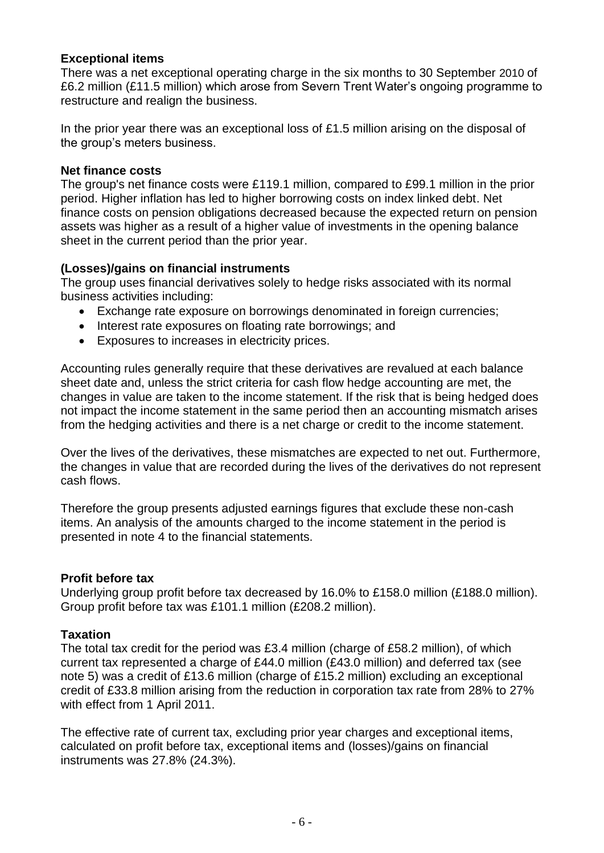# **Exceptional items**

There was a net exceptional operating charge in the six months to 30 September 2010 of £6.2 million (£11.5 million) which arose from Severn Trent Water's ongoing programme to restructure and realign the business.

In the prior year there was an exceptional loss of £1.5 million arising on the disposal of the group's meters business.

## **Net finance costs**

The group's net finance costs were £119.1 million, compared to £99.1 million in the prior period. Higher inflation has led to higher borrowing costs on index linked debt. Net finance costs on pension obligations decreased because the expected return on pension assets was higher as a result of a higher value of investments in the opening balance sheet in the current period than the prior year.

# **(Losses)/gains on financial instruments**

The group uses financial derivatives solely to hedge risks associated with its normal business activities including:

- Exchange rate exposure on borrowings denominated in foreign currencies;
- Interest rate exposures on floating rate borrowings; and
- Exposures to increases in electricity prices.

Accounting rules generally require that these derivatives are revalued at each balance sheet date and, unless the strict criteria for cash flow hedge accounting are met, the changes in value are taken to the income statement. If the risk that is being hedged does not impact the income statement in the same period then an accounting mismatch arises from the hedging activities and there is a net charge or credit to the income statement.

Over the lives of the derivatives, these mismatches are expected to net out. Furthermore, the changes in value that are recorded during the lives of the derivatives do not represent cash flows.

Therefore the group presents adjusted earnings figures that exclude these non-cash items. An analysis of the amounts charged to the income statement in the period is presented in note 4 to the financial statements.

# **Profit before tax**

Underlying group profit before tax decreased by 16.0% to £158.0 million (£188.0 million). Group profit before tax was £101.1 million (£208.2 million).

# **Taxation**

The total tax credit for the period was £3.4 million (charge of £58.2 million), of which current tax represented a charge of £44.0 million (£43.0 million) and deferred tax (see note 5) was a credit of £13.6 million (charge of £15.2 million) excluding an exceptional credit of £33.8 million arising from the reduction in corporation tax rate from 28% to 27% with effect from 1 April 2011.

The effective rate of current tax, excluding prior year charges and exceptional items, calculated on profit before tax, exceptional items and (losses)/gains on financial instruments was 27.8% (24.3%).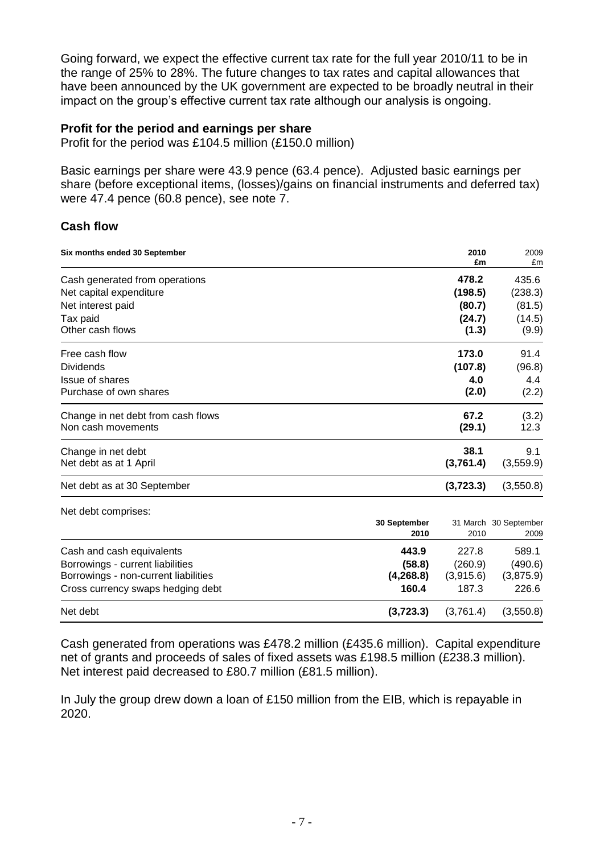Going forward, we expect the effective current tax rate for the full year 2010/11 to be in the range of 25% to 28%. The future changes to tax rates and capital allowances that have been announced by the UK government are expected to be broadly neutral in their impact on the group's effective current tax rate although our analysis is ongoing.

## **Profit for the period and earnings per share**

Profit for the period was £104.5 million (£150.0 million)

Basic earnings per share were 43.9 pence (63.4 pence). Adjusted basic earnings per share (before exceptional items, (losses)/gains on financial instruments and deferred tax) were 47.4 pence (60.8 pence), see note 7.

### **Cash flow**

| Six months ended 30 September        |              | 2010<br>£m | 2009<br>£m            |
|--------------------------------------|--------------|------------|-----------------------|
| Cash generated from operations       |              | 478.2      | 435.6                 |
| Net capital expenditure              |              | (198.5)    | (238.3)               |
| Net interest paid                    |              | (80.7)     | (81.5)                |
| Tax paid                             |              | (24.7)     | (14.5)                |
| Other cash flows                     |              | (1.3)      | (9.9)                 |
| Free cash flow                       |              | 173.0      | 91.4                  |
| <b>Dividends</b>                     |              | (107.8)    | (96.8)                |
| Issue of shares                      |              | 4.0        | 4.4                   |
| Purchase of own shares               |              | (2.0)      | (2.2)                 |
| Change in net debt from cash flows   |              | 67.2       | (3.2)                 |
| Non cash movements                   |              | (29.1)     | 12.3                  |
| Change in net debt                   |              | 38.1       | 9.1                   |
| Net debt as at 1 April               |              | (3,761.4)  | (3,559.9)             |
| Net debt as at 30 September          |              | (3,723.3)  | (3,550.8)             |
| Net debt comprises:                  |              |            |                       |
|                                      | 30 September |            | 31 March 30 September |
|                                      | 2010         | 2010       | 2009                  |
| Cash and cash equivalents            | 443.9        | 227.8      | 589.1                 |
| Borrowings - current liabilities     | (58.8)       | (260.9)    | (490.6)               |
| Borrowings - non-current liabilities | (4,268.8)    | (3,915.6)  | (3,875.9)             |
| Cross currency swaps hedging debt    | 160.4        | 187.3      | 226.6                 |
| Net debt                             | (3,723.3)    | (3,761.4)  | (3,550.8)             |

Cash generated from operations was £478.2 million (£435.6 million). Capital expenditure net of grants and proceeds of sales of fixed assets was £198.5 million (£238.3 million). Net interest paid decreased to £80.7 million (£81.5 million).

In July the group drew down a loan of £150 million from the EIB, which is repayable in 2020.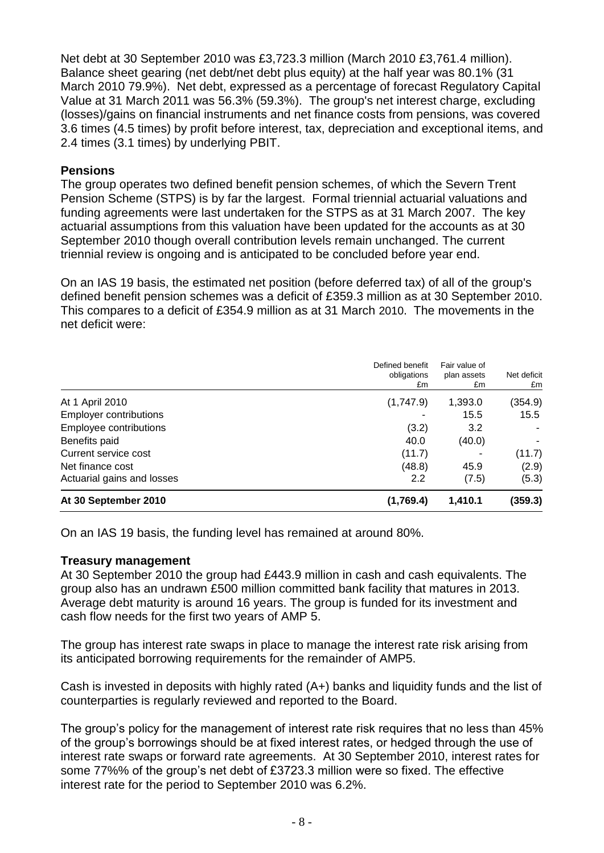Net debt at 30 September 2010 was £3,723.3 million (March 2010 £3,761.4 million). Balance sheet gearing (net debt/net debt plus equity) at the half year was 80.1% (31 March 2010 79.9%). Net debt, expressed as a percentage of forecast Regulatory Capital Value at 31 March 2011 was 56.3% (59.3%). The group's net interest charge, excluding (losses)/gains on financial instruments and net finance costs from pensions, was covered 3.6 times (4.5 times) by profit before interest, tax, depreciation and exceptional items, and 2.4 times (3.1 times) by underlying PBIT.

# **Pensions**

The group operates two defined benefit pension schemes, of which the Severn Trent Pension Scheme (STPS) is by far the largest. Formal triennial actuarial valuations and funding agreements were last undertaken for the STPS as at 31 March 2007. The key actuarial assumptions from this valuation have been updated for the accounts as at 30 September 2010 though overall contribution levels remain unchanged. The current triennial review is ongoing and is anticipated to be concluded before year end.

On an IAS 19 basis, the estimated net position (before deferred tax) of all of the group's defined benefit pension schemes was a deficit of £359.3 million as at 30 September 2010. This compares to a deficit of £354.9 million as at 31 March 2010. The movements in the net deficit were:

|                               | Defined benefit<br>obligations<br>£m | Fair value of<br>plan assets<br>£m | Net deficit<br>£m |
|-------------------------------|--------------------------------------|------------------------------------|-------------------|
| At 1 April 2010               | (1,747.9)                            | 1,393.0                            | (354.9)           |
| <b>Employer contributions</b> |                                      | 15.5                               | 15.5              |
| Employee contributions        | (3.2)                                | 3.2                                |                   |
| Benefits paid                 | 40.0                                 | (40.0)                             |                   |
| Current service cost          | (11.7)                               |                                    | (11.7)            |
| Net finance cost              | (48.8)                               | 45.9                               | (2.9)             |
| Actuarial gains and losses    | 2.2                                  | (7.5)                              | (5.3)             |
| At 30 September 2010          | (1,769.4)                            | 1,410.1                            | (359.3)           |

On an IAS 19 basis, the funding level has remained at around 80%.

# **Treasury management**

At 30 September 2010 the group had £443.9 million in cash and cash equivalents. The group also has an undrawn £500 million committed bank facility that matures in 2013. Average debt maturity is around 16 years. The group is funded for its investment and cash flow needs for the first two years of AMP 5.

The group has interest rate swaps in place to manage the interest rate risk arising from its anticipated borrowing requirements for the remainder of AMP5.

Cash is invested in deposits with highly rated (A+) banks and liquidity funds and the list of counterparties is regularly reviewed and reported to the Board.

The group's policy for the management of interest rate risk requires that no less than 45% of the group's borrowings should be at fixed interest rates, or hedged through the use of interest rate swaps or forward rate agreements. At 30 September 2010, interest rates for some 77%% of the group's net debt of £3723.3 million were so fixed. The effective interest rate for the period to September 2010 was 6.2%.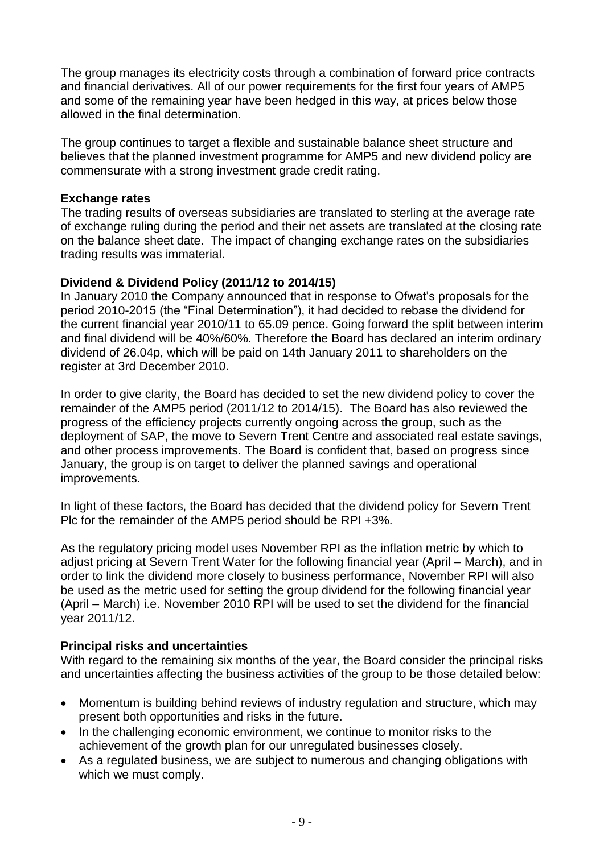The group manages its electricity costs through a combination of forward price contracts and financial derivatives. All of our power requirements for the first four years of AMP5 and some of the remaining year have been hedged in this way, at prices below those allowed in the final determination.

The group continues to target a flexible and sustainable balance sheet structure and believes that the planned investment programme for AMP5 and new dividend policy are commensurate with a strong investment grade credit rating.

# **Exchange rates**

The trading results of overseas subsidiaries are translated to sterling at the average rate of exchange ruling during the period and their net assets are translated at the closing rate on the balance sheet date. The impact of changing exchange rates on the subsidiaries trading results was immaterial.

# **Dividend & Dividend Policy (2011/12 to 2014/15)**

In January 2010 the Company announced that in response to Ofwat's proposals for the period 2010-2015 (the "Final Determination"), it had decided to rebase the dividend for the current financial year 2010/11 to 65.09 pence. Going forward the split between interim and final dividend will be 40%/60%. Therefore the Board has declared an interim ordinary dividend of 26.04p, which will be paid on 14th January 2011 to shareholders on the register at 3rd December 2010.

In order to give clarity, the Board has decided to set the new dividend policy to cover the remainder of the AMP5 period (2011/12 to 2014/15). The Board has also reviewed the progress of the efficiency projects currently ongoing across the group, such as the deployment of SAP, the move to Severn Trent Centre and associated real estate savings, and other process improvements. The Board is confident that, based on progress since January, the group is on target to deliver the planned savings and operational improvements.

In light of these factors, the Board has decided that the dividend policy for Severn Trent Plc for the remainder of the AMP5 period should be RPI +3%.

As the regulatory pricing model uses November RPI as the inflation metric by which to adjust pricing at Severn Trent Water for the following financial year (April – March), and in order to link the dividend more closely to business performance, November RPI will also be used as the metric used for setting the group dividend for the following financial year (April – March) i.e. November 2010 RPI will be used to set the dividend for the financial year 2011/12.

# **Principal risks and uncertainties**

With regard to the remaining six months of the year, the Board consider the principal risks and uncertainties affecting the business activities of the group to be those detailed below:

- Momentum is building behind reviews of industry regulation and structure, which may present both opportunities and risks in the future.
- In the challenging economic environment, we continue to monitor risks to the achievement of the growth plan for our unregulated businesses closely.
- As a regulated business, we are subject to numerous and changing obligations with which we must comply.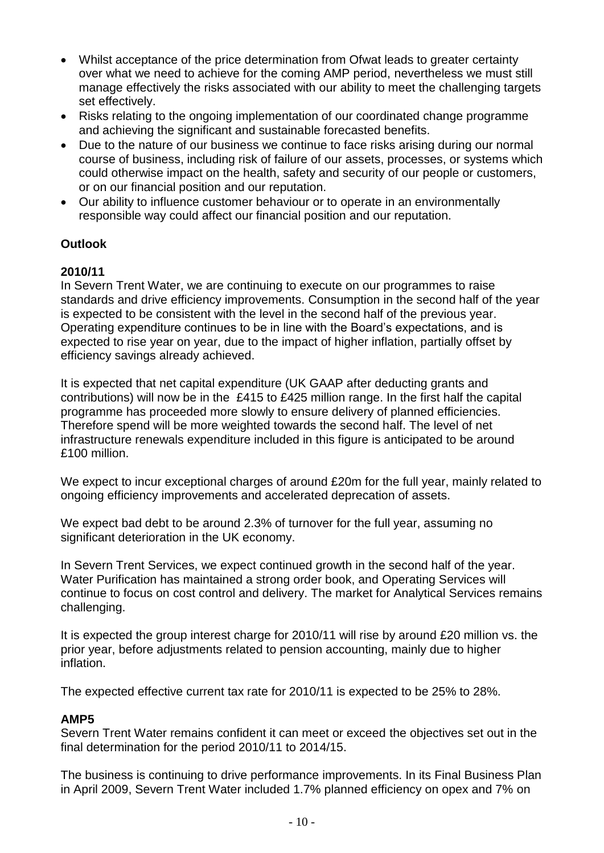- Whilst acceptance of the price determination from Ofwat leads to greater certainty over what we need to achieve for the coming AMP period, nevertheless we must still manage effectively the risks associated with our ability to meet the challenging targets set effectively.
- Risks relating to the ongoing implementation of our coordinated change programme and achieving the significant and sustainable forecasted benefits.
- Due to the nature of our business we continue to face risks arising during our normal course of business, including risk of failure of our assets, processes, or systems which could otherwise impact on the health, safety and security of our people or customers, or on our financial position and our reputation.
- Our ability to influence customer behaviour or to operate in an environmentally responsible way could affect our financial position and our reputation.

# **Outlook**

# **2010/11**

In Severn Trent Water, we are continuing to execute on our programmes to raise standards and drive efficiency improvements. Consumption in the second half of the year is expected to be consistent with the level in the second half of the previous year. Operating expenditure continues to be in line with the Board's expectations, and is expected to rise year on year, due to the impact of higher inflation, partially offset by efficiency savings already achieved.

It is expected that net capital expenditure (UK GAAP after deducting grants and contributions) will now be in the £415 to £425 million range. In the first half the capital programme has proceeded more slowly to ensure delivery of planned efficiencies. Therefore spend will be more weighted towards the second half. The level of net infrastructure renewals expenditure included in this figure is anticipated to be around £100 million.

We expect to incur exceptional charges of around £20m for the full year, mainly related to ongoing efficiency improvements and accelerated deprecation of assets.

We expect bad debt to be around 2.3% of turnover for the full year, assuming no significant deterioration in the UK economy.

In Severn Trent Services, we expect continued growth in the second half of the year. Water Purification has maintained a strong order book, and Operating Services will continue to focus on cost control and delivery. The market for Analytical Services remains challenging.

It is expected the group interest charge for 2010/11 will rise by around £20 million vs. the prior year, before adjustments related to pension accounting, mainly due to higher inflation.

The expected effective current tax rate for 2010/11 is expected to be 25% to 28%.

# **AMP5**

Severn Trent Water remains confident it can meet or exceed the objectives set out in the final determination for the period 2010/11 to 2014/15.

The business is continuing to drive performance improvements. In its Final Business Plan in April 2009, Severn Trent Water included 1.7% planned efficiency on opex and 7% on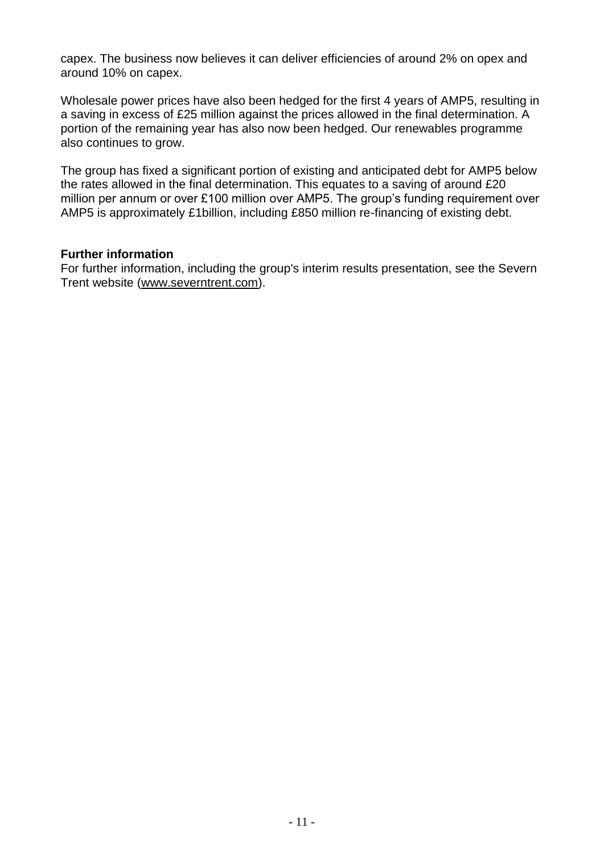capex. The business now believes it can deliver efficiencies of around 2% on opex and around 10% on capex.

Wholesale power prices have also been hedged for the first 4 years of AMP5, resulting in a saving in excess of £25 million against the prices allowed in the final determination. A portion of the remaining year has also now been hedged. Our renewables programme also continues to grow.

The group has fixed a significant portion of existing and anticipated debt for AMP5 below the rates allowed in the final determination. This equates to a saving of around £20 million per annum or over £100 million over AMP5. The group's funding requirement over AMP5 is approximately £1billion, including £850 million re-financing of existing debt.

### **Further information**

For further information, including the group's interim results presentation, see the Severn Trent website [\(www.severntrent.com\)](http://www.severntrent.com/).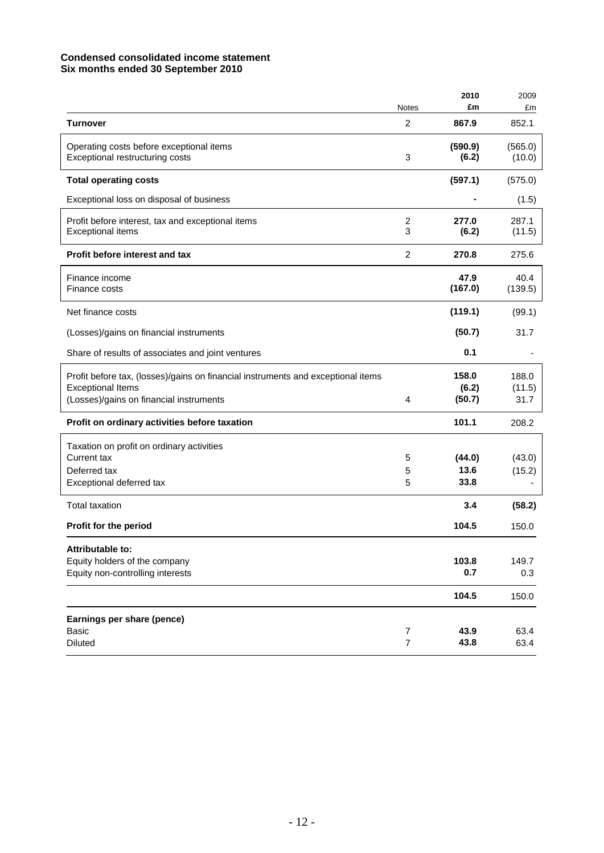### **Condensed consolidated income statement Six months ended 30 September 2010**

|                                                                                  |                | 2010    | 2009    |
|----------------------------------------------------------------------------------|----------------|---------|---------|
|                                                                                  | <b>Notes</b>   | £m      | £m      |
| <b>Turnover</b>                                                                  | $\overline{2}$ | 867.9   | 852.1   |
| Operating costs before exceptional items                                         |                | (590.9) | (565.0) |
| Exceptional restructuring costs                                                  | 3              | (6.2)   | (10.0)  |
|                                                                                  |                |         |         |
| <b>Total operating costs</b>                                                     |                | (597.1) | (575.0) |
| Exceptional loss on disposal of business                                         |                |         | (1.5)   |
| Profit before interest, tax and exceptional items                                | 2              | 277.0   | 287.1   |
| <b>Exceptional items</b>                                                         | 3              | (6.2)   | (11.5)  |
| Profit before interest and tax                                                   | $\overline{2}$ | 270.8   | 275.6   |
| Finance income                                                                   |                | 47.9    | 40.4    |
| Finance costs                                                                    |                | (167.0) | (139.5) |
| Net finance costs                                                                |                | (119.1) | (99.1)  |
| (Losses)/gains on financial instruments                                          |                | (50.7)  | 31.7    |
| Share of results of associates and joint ventures                                |                | 0.1     |         |
| Profit before tax, (losses)/gains on financial instruments and exceptional items |                | 158.0   | 188.0   |
| <b>Exceptional Items</b>                                                         |                | (6.2)   | (11.5)  |
| (Losses)/gains on financial instruments                                          | 4              | (50.7)  | 31.7    |
| Profit on ordinary activities before taxation                                    |                | 101.1   | 208.2   |
| Taxation on profit on ordinary activities                                        |                |         |         |
| <b>Current tax</b>                                                               | 5              | (44.0)  | (43.0)  |
| Deferred tax                                                                     | 5              | 13.6    | (15.2)  |
| Exceptional deferred tax                                                         | 5              | 33.8    |         |
| <b>Total taxation</b>                                                            |                | 3.4     | (58.2)  |
| Profit for the period                                                            |                | 104.5   | 150.0   |
| Attributable to:                                                                 |                |         |         |
| Equity holders of the company                                                    |                | 103.8   | 149.7   |
| Equity non-controlling interests                                                 |                | 0.7     | 0.3     |
|                                                                                  |                | 104.5   | 150.0   |
| Earnings per share (pence)                                                       |                |         |         |
| Basic                                                                            | 7              | 43.9    | 63.4    |
| Diluted                                                                          | $\overline{7}$ | 43.8    | 63.4    |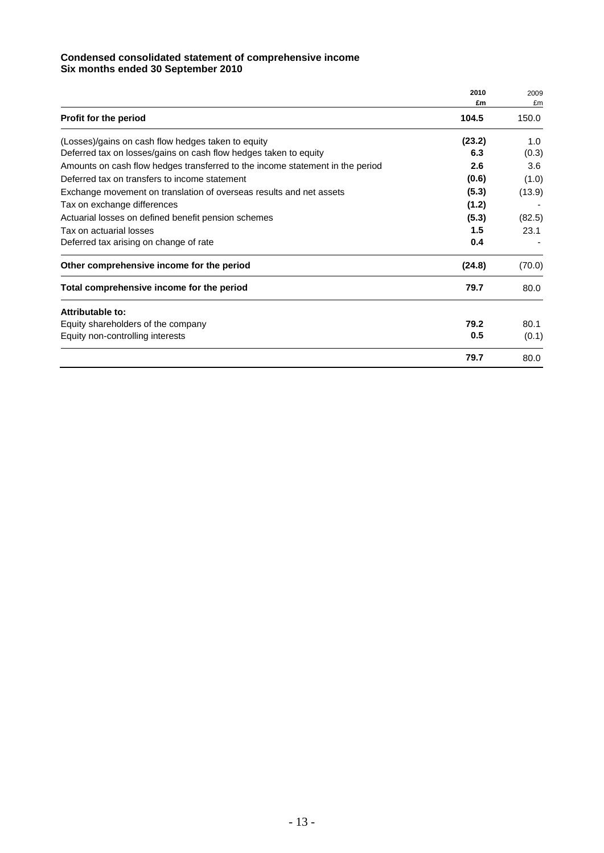#### **Condensed consolidated statement of comprehensive income Six months ended 30 September 2010**

|                                                                               | 2010<br>£m | 2009<br>£m |
|-------------------------------------------------------------------------------|------------|------------|
| Profit for the period                                                         | 104.5      | 150.0      |
| (Losses)/gains on cash flow hedges taken to equity                            | (23.2)     | 1.0        |
| Deferred tax on losses/gains on cash flow hedges taken to equity              | 6.3        | (0.3)      |
| Amounts on cash flow hedges transferred to the income statement in the period | 2.6        | 3.6        |
| Deferred tax on transfers to income statement                                 | (0.6)      | (1.0)      |
| Exchange movement on translation of overseas results and net assets           | (5.3)      | (13.9)     |
| Tax on exchange differences                                                   | (1.2)      |            |
| Actuarial losses on defined benefit pension schemes                           | (5.3)      | (82.5)     |
| Tax on actuarial losses                                                       | 1.5        | 23.1       |
| Deferred tax arising on change of rate                                        | 0.4        |            |
| Other comprehensive income for the period                                     | (24.8)     | (70.0)     |
| Total comprehensive income for the period                                     | 79.7       | 80.0       |
| Attributable to:                                                              |            |            |
| Equity shareholders of the company                                            | 79.2       | 80.1       |
| Equity non-controlling interests                                              | 0.5        | (0.1)      |
|                                                                               | 79.7       | 80.0       |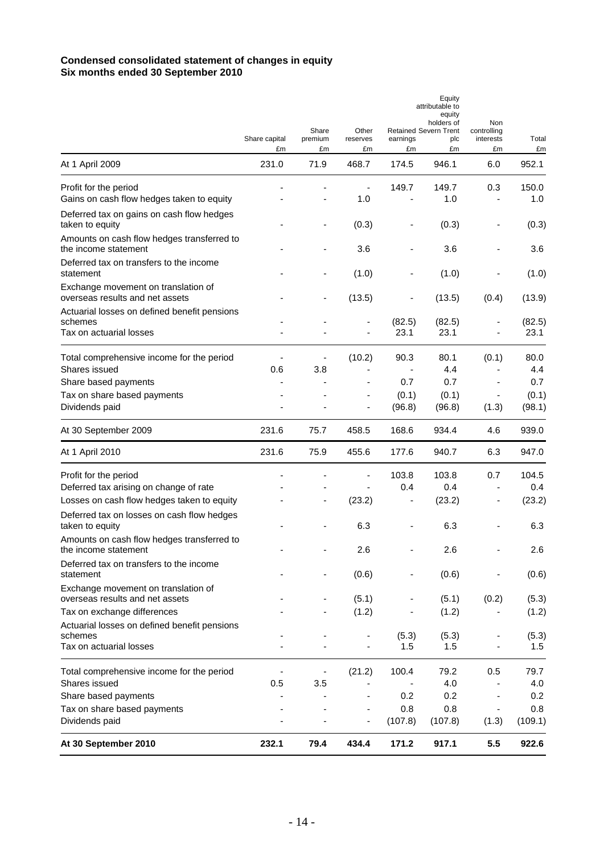### **Condensed consolidated statement of changes in equity Six months ended 30 September 2010**

|                                                                                    |                     | attributable to<br>equity<br>holders of |                              |                |                                           | Equity                            |                |  |  |
|------------------------------------------------------------------------------------|---------------------|-----------------------------------------|------------------------------|----------------|-------------------------------------------|-----------------------------------|----------------|--|--|
|                                                                                    | Share capital<br>£m | Share<br>premium<br>£m                  | Other<br>reserves<br>£m      | earnings<br>£m | <b>Retained Severn Trent</b><br>plc<br>£m | controlling<br>interests<br>£m    | Total<br>£m    |  |  |
| At 1 April 2009                                                                    | 231.0               | 71.9                                    | 468.7                        | 174.5          | 946.1                                     | 6.0                               | 952.1          |  |  |
| Profit for the period<br>Gains on cash flow hedges taken to equity                 |                     |                                         | 1.0                          | 149.7          | 149.7<br>1.0                              | 0.3                               | 150.0<br>1.0   |  |  |
| Deferred tax on gains on cash flow hedges<br>taken to equity                       |                     |                                         | (0.3)                        | -              | (0.3)                                     |                                   | (0.3)          |  |  |
| Amounts on cash flow hedges transferred to<br>the income statement                 |                     |                                         | 3.6                          |                | 3.6                                       |                                   | 3.6            |  |  |
| Deferred tax on transfers to the income<br>statement                               |                     |                                         | (1.0)                        |                | (1.0)                                     |                                   | (1.0)          |  |  |
| Exchange movement on translation of<br>overseas results and net assets             |                     |                                         | (13.5)                       |                | (13.5)                                    | (0.4)                             | (13.9)         |  |  |
| Actuarial losses on defined benefit pensions<br>schemes<br>Tax on actuarial losses |                     |                                         |                              | (82.5)<br>23.1 | (82.5)<br>23.1                            |                                   | (82.5)<br>23.1 |  |  |
| Total comprehensive income for the period<br>Shares issued                         | 0.6                 | 3.8                                     | (10.2)                       | 90.3           | 80.1<br>4.4                               | (0.1)                             | 80.0<br>4.4    |  |  |
| Share based payments                                                               |                     |                                         |                              | 0.7            | 0.7                                       |                                   | 0.7            |  |  |
| Tax on share based payments                                                        |                     |                                         |                              | (0.1)          | (0.1)                                     |                                   | (0.1)          |  |  |
| Dividends paid                                                                     |                     |                                         |                              | (96.8)         | (96.8)                                    | (1.3)                             | (98.1)         |  |  |
| At 30 September 2009                                                               | 231.6               | 75.7                                    | 458.5                        | 168.6          | 934.4                                     | 4.6                               | 939.0          |  |  |
| At 1 April 2010                                                                    | 231.6               | 75.9                                    | 455.6                        | 177.6          | 940.7                                     | 6.3                               | 947.0          |  |  |
| Profit for the period                                                              |                     |                                         |                              | 103.8          | 103.8                                     | 0.7                               | 104.5          |  |  |
| Deferred tax arising on change of rate                                             |                     |                                         |                              | 0.4            | 0.4                                       | $\overline{\phantom{a}}$          | 0.4            |  |  |
| Losses on cash flow hedges taken to equity                                         |                     |                                         | (23.2)                       |                | (23.2)                                    | $\qquad \qquad \blacksquare$      | (23.2)         |  |  |
| Deferred tax on losses on cash flow hedges<br>taken to equity                      |                     |                                         | 6.3                          |                | 6.3                                       |                                   | 6.3            |  |  |
| Amounts on cash flow hedges transferred to<br>the income statement                 |                     |                                         | 2.6                          |                | 2.6                                       |                                   | 2.6            |  |  |
| Deferred tax on transfers to the income<br>statement                               |                     |                                         | (0.6)                        |                | (0.6)                                     |                                   | (0.6)          |  |  |
| Exchange movement on translation of<br>overseas results and net assets             |                     |                                         | (5.1)                        |                | (5.1)                                     | (0.2)                             | (5.3)          |  |  |
| Tax on exchange differences                                                        |                     |                                         | (1.2)                        |                | (1.2)                                     |                                   | (1.2)          |  |  |
| Actuarial losses on defined benefit pensions                                       |                     |                                         |                              |                |                                           |                                   |                |  |  |
| schemes<br>Tax on actuarial losses                                                 |                     |                                         |                              | (5.3)<br>1.5   | (5.3)<br>1.5                              |                                   | (5.3)<br>1.5   |  |  |
| Total comprehensive income for the period                                          |                     |                                         | (21.2)                       | 100.4          | 79.2                                      | 0.5                               | 79.7           |  |  |
| Shares issued                                                                      | 0.5                 | 3.5                                     |                              |                | 4.0                                       | $\overline{\phantom{a}}$          | 4.0            |  |  |
| Share based payments                                                               |                     |                                         | $\qquad \qquad \blacksquare$ | 0.2            | 0.2                                       | $\qquad \qquad \blacksquare$      | 0.2            |  |  |
| Tax on share based payments<br>Dividends paid                                      |                     |                                         | $\overline{\phantom{a}}$     | 0.8<br>(107.8) | 0.8<br>(107.8)                            | $\overline{\phantom{a}}$<br>(1.3) | 0.8<br>(109.1) |  |  |
| At 30 September 2010                                                               | 232.1               | 79.4                                    | 434.4                        | 171.2          | 917.1                                     | 5.5                               | 922.6          |  |  |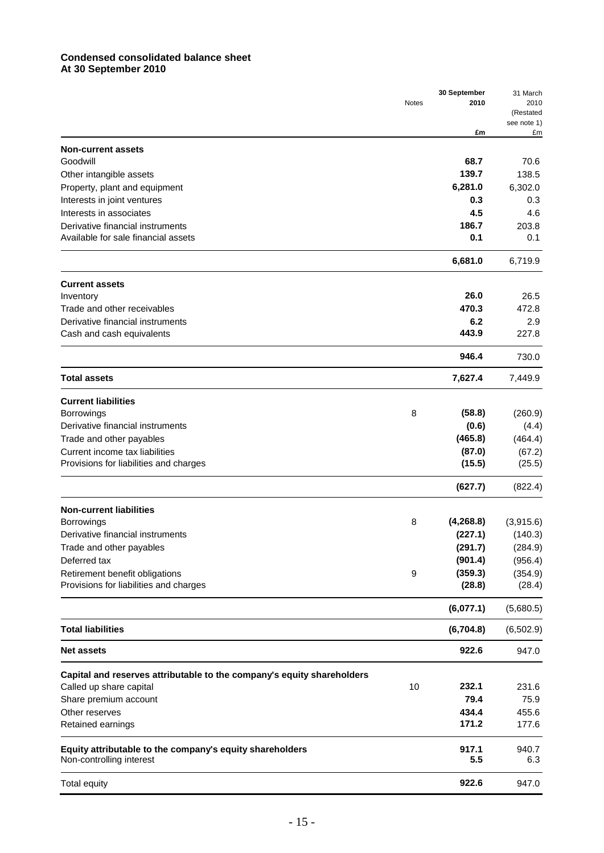### **Condensed consolidated balance sheet At 30 September 2010**

|                                                                        |              | 30 September     | 31 March          |
|------------------------------------------------------------------------|--------------|------------------|-------------------|
|                                                                        | <b>Notes</b> | 2010             | 2010              |
|                                                                        |              |                  | (Restated         |
|                                                                        |              | £m               | see note 1)<br>£m |
| <b>Non-current assets</b>                                              |              |                  |                   |
| Goodwill                                                               |              | 68.7             | 70.6              |
| Other intangible assets                                                |              | 139.7            | 138.5             |
| Property, plant and equipment                                          |              | 6,281.0          | 6,302.0           |
| Interests in joint ventures                                            |              | 0.3              | 0.3               |
| Interests in associates                                                |              | 4.5              | 4.6               |
|                                                                        |              |                  |                   |
| Derivative financial instruments                                       |              | 186.7            | 203.8             |
| Available for sale financial assets                                    |              | 0.1              | 0.1               |
|                                                                        |              | 6,681.0          | 6,719.9           |
| <b>Current assets</b>                                                  |              |                  |                   |
| Inventory                                                              |              | 26.0             | 26.5              |
| Trade and other receivables                                            |              | 470.3            | 472.8             |
| Derivative financial instruments                                       |              | 6.2              | 2.9               |
| Cash and cash equivalents                                              |              | 443.9            | 227.8             |
|                                                                        |              | 946.4            | 730.0             |
| <b>Total assets</b>                                                    |              | 7,627.4          | 7,449.9           |
| <b>Current liabilities</b>                                             |              |                  |                   |
| Borrowings                                                             | 8            | (58.8)           | (260.9)           |
| Derivative financial instruments                                       |              | (0.6)            | (4.4)             |
| Trade and other payables                                               |              | (465.8)          | (464.4)           |
| Current income tax liabilities                                         |              |                  |                   |
| Provisions for liabilities and charges                                 |              | (87.0)<br>(15.5) | (67.2)<br>(25.5)  |
|                                                                        |              | (627.7)          | (822.4)           |
| <b>Non-current liabilities</b>                                         |              |                  |                   |
| <b>Borrowings</b>                                                      | 8            | (4, 268.8)       | (3,915.6)         |
| Derivative financial instruments                                       |              | (227.1)          | (140.3)           |
| Trade and other payables                                               |              | (291.7)          | (284.9)           |
| Deferred tax                                                           |              | (901.4)          | (956.4)           |
| Retirement benefit obligations                                         | 9            | (359.3)          | (354.9)           |
| Provisions for liabilities and charges                                 |              | (28.8)           | (28.4)            |
|                                                                        |              | (6,077.1)        | (5,680.5)         |
| <b>Total liabilities</b>                                               |              | (6,704.8)        | (6, 502.9)        |
| <b>Net assets</b>                                                      |              | 922.6            | 947.0             |
| Capital and reserves attributable to the company's equity shareholders |              |                  |                   |
| Called up share capital                                                | 10           | 232.1            | 231.6             |
| Share premium account                                                  |              | 79.4             | 75.9              |
| Other reserves                                                         |              | 434.4            | 455.6             |
| Retained earnings                                                      |              | 171.2            | 177.6             |
| Equity attributable to the company's equity shareholders               |              | 917.1            | 940.7             |
| Non-controlling interest                                               |              | 5.5              | 6.3               |
| Total equity                                                           |              | 922.6            | 947.0             |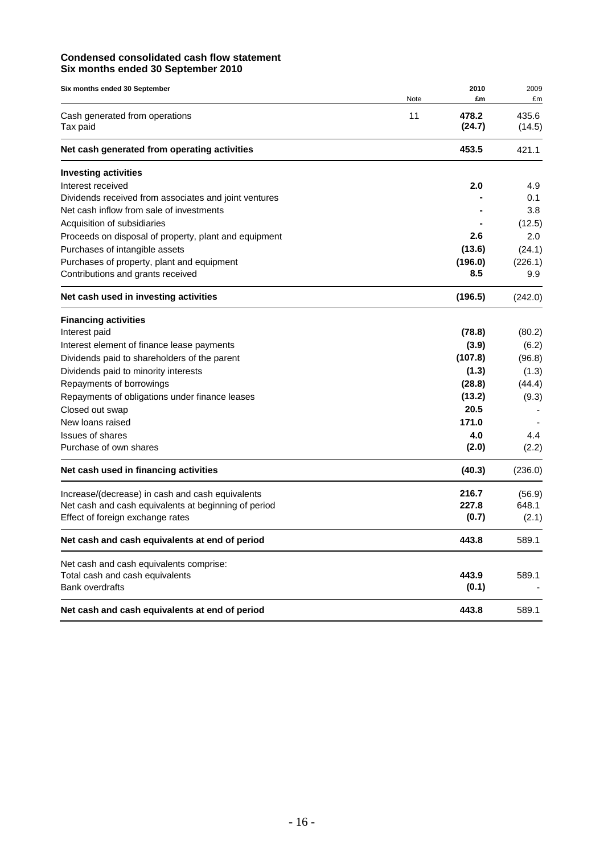### **Condensed consolidated cash flow statement Six months ended 30 September 2010**

| Six months ended 30 September                         | Note | 2010<br>£m      | 2009<br>£m      |
|-------------------------------------------------------|------|-----------------|-----------------|
| Cash generated from operations<br>Tax paid            | 11   | 478.2<br>(24.7) | 435.6<br>(14.5) |
| Net cash generated from operating activities          |      | 453.5           | 421.1           |
| <b>Investing activities</b>                           |      |                 |                 |
| Interest received                                     |      | 2.0             | 4.9             |
| Dividends received from associates and joint ventures |      |                 | 0.1             |
| Net cash inflow from sale of investments              |      |                 | 3.8             |
| Acquisition of subsidiaries                           |      |                 | (12.5)          |
| Proceeds on disposal of property, plant and equipment |      | 2.6             | 2.0             |
| Purchases of intangible assets                        |      | (13.6)          | (24.1)          |
| Purchases of property, plant and equipment            |      | (196.0)         | (226.1)         |
| Contributions and grants received                     |      | 8.5             | 9.9             |
| Net cash used in investing activities                 |      | (196.5)         | (242.0)         |
| <b>Financing activities</b>                           |      |                 |                 |
| Interest paid                                         |      | (78.8)          | (80.2)          |
| Interest element of finance lease payments            |      | (3.9)           | (6.2)           |
| Dividends paid to shareholders of the parent          |      | (107.8)         | (96.8)          |
| Dividends paid to minority interests                  |      | (1.3)           | (1.3)           |
| Repayments of borrowings                              |      | (28.8)          | (44.4)          |
| Repayments of obligations under finance leases        |      | (13.2)          | (9.3)           |
| Closed out swap                                       |      | 20.5            |                 |
| New loans raised                                      |      | 171.0           |                 |
| <b>Issues of shares</b>                               |      | 4.0             | 4.4             |
| Purchase of own shares                                |      | (2.0)           | (2.2)           |
| Net cash used in financing activities                 |      | (40.3)          | (236.0)         |
| Increase/(decrease) in cash and cash equivalents      |      | 216.7           | (56.9)          |
| Net cash and cash equivalents at beginning of period  |      | 227.8           | 648.1           |
| Effect of foreign exchange rates                      |      | (0.7)           | (2.1)           |
| Net cash and cash equivalents at end of period        |      | 443.8           | 589.1           |
| Net cash and cash equivalents comprise:               |      |                 |                 |
| Total cash and cash equivalents                       |      | 443.9           | 589.1           |
| <b>Bank overdrafts</b>                                |      | (0.1)           |                 |
| Net cash and cash equivalents at end of period        |      | 443.8           | 589.1           |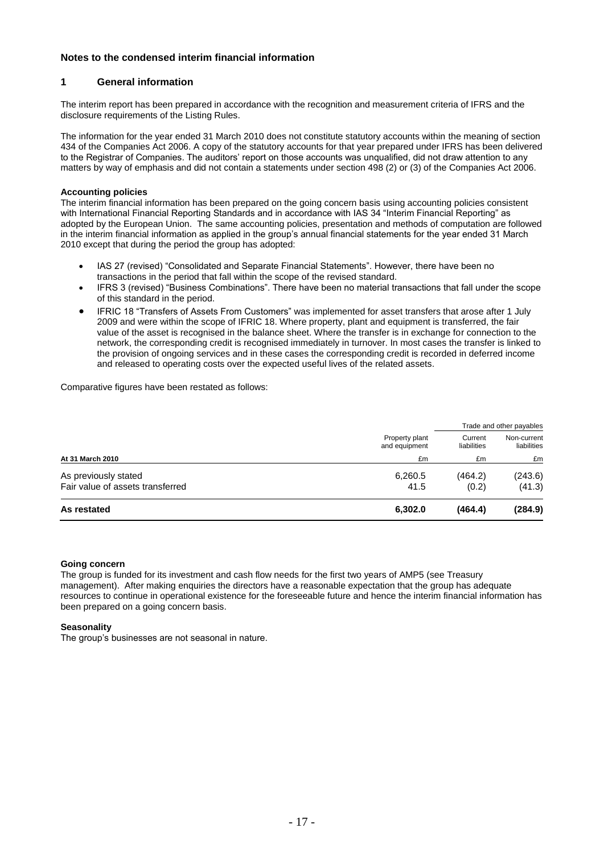### **Notes to the condensed interim financial information**

#### **1 General information**

The interim report has been prepared in accordance with the recognition and measurement criteria of IFRS and the disclosure requirements of the Listing Rules.

The information for the year ended 31 March 2010 does not constitute statutory accounts within the meaning of section 434 of the Companies Act 2006. A copy of the statutory accounts for that year prepared under IFRS has been delivered to the Registrar of Companies. The auditors' report on those accounts was unqualified, did not draw attention to any matters by way of emphasis and did not contain a statements under section 498 (2) or (3) of the Companies Act 2006.

#### **Accounting policies**

The interim financial information has been prepared on the going concern basis using accounting policies consistent with International Financial Reporting Standards and in accordance with IAS 34 "Interim Financial Reporting" as adopted by the European Union. The same accounting policies, presentation and methods of computation are followed in the interim financial information as applied in the group's annual financial statements for the year ended 31 March 2010 except that during the period the group has adopted:

- IAS 27 (revised) "Consolidated and Separate Financial Statements". However, there have been no transactions in the period that fall within the scope of the revised standard.
- IFRS 3 (revised) "Business Combinations". There have been no material transactions that fall under the scope of this standard in the period.
- IFRIC 18 "Transfers of Assets From Customers" was implemented for asset transfers that arose after 1 July 2009 and were within the scope of IFRIC 18. Where property, plant and equipment is transferred, the fair value of the asset is recognised in the balance sheet. Where the transfer is in exchange for connection to the network, the corresponding credit is recognised immediately in turnover. In most cases the transfer is linked to the provision of ongoing services and in these cases the corresponding credit is recorded in deferred income and released to operating costs over the expected useful lives of the related assets.

Comparative figures have been restated as follows:

| At 31 March 2010                 |                                 |                        | Trade and other payables   |
|----------------------------------|---------------------------------|------------------------|----------------------------|
|                                  | Property plant<br>and equipment | Current<br>liabilities | Non-current<br>liabilities |
|                                  | £m                              | £m                     | £m                         |
| As previously stated             | 6,260.5                         | (464.2)                | (243.6)                    |
| Fair value of assets transferred | 41.5                            | (0.2)                  | (41.3)                     |
| As restated                      | 6,302.0                         | (464.4)                | (284.9)                    |

#### **Going concern**

The group is funded for its investment and cash flow needs for the first two years of AMP5 (see Treasury management). After making enquiries the directors have a reasonable expectation that the group has adequate resources to continue in operational existence for the foreseeable future and hence the interim financial information has been prepared on a going concern basis.

#### **Seasonality**

The group's businesses are not seasonal in nature.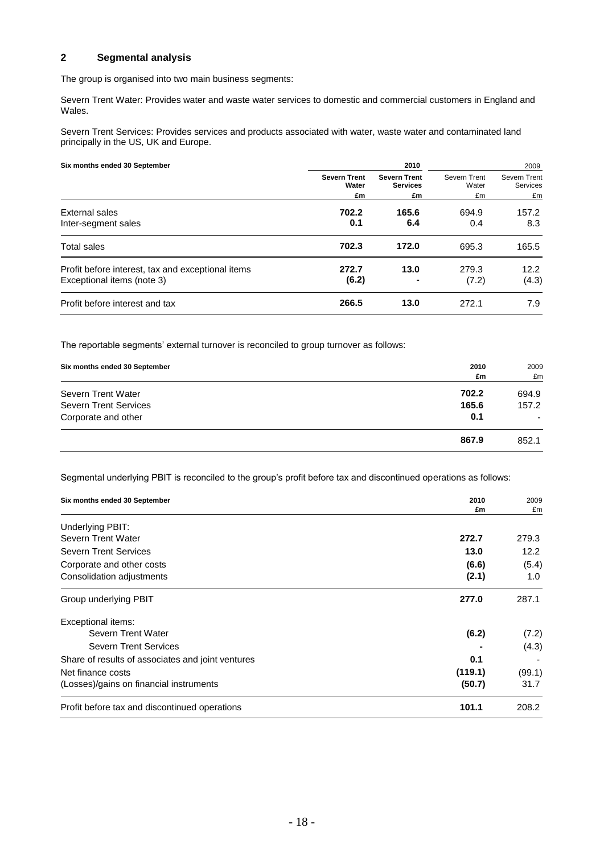### **2 Segmental analysis**

The group is organised into two main business segments:

Severn Trent Water: Provides water and waste water services to domestic and commercial customers in England and Wales.

Severn Trent Services: Provides services and products associated with water, waste water and contaminated land principally in the US, UK and Europe.

| Six months ended 30 September                                                   |                              | 2010                                   | 2009                  |                          |  |
|---------------------------------------------------------------------------------|------------------------------|----------------------------------------|-----------------------|--------------------------|--|
|                                                                                 | <b>Severn Trent</b><br>Water | <b>Severn Trent</b><br><b>Services</b> | Severn Trent<br>Water | Severn Trent<br>Services |  |
|                                                                                 | £m                           | £m                                     | £m                    | £m                       |  |
| <b>External sales</b>                                                           | 702.2                        | 165.6                                  | 694.9                 | 157.2                    |  |
| Inter-segment sales                                                             | 0.1                          | 6.4                                    | 0.4                   | 8.3                      |  |
| <b>Total sales</b>                                                              | 702.3                        | 172.0                                  | 695.3                 | 165.5                    |  |
| Profit before interest, tax and exceptional items<br>Exceptional items (note 3) | 272.7<br>(6.2)               | 13.0                                   | 279.3<br>(7.2)        | 12.2<br>(4.3)            |  |
| Profit before interest and tax                                                  | 266.5                        | 13.0                                   | 272.1                 | 7.9                      |  |

The reportable segments' external turnover is reconciled to group turnover as follows:

| Six months ended 30 September | 2010<br>£m | 2009<br>£m |
|-------------------------------|------------|------------|
| Severn Trent Water            | 702.2      | 694.9      |
| <b>Severn Trent Services</b>  | 165.6      | 157.2      |
| Corporate and other           | 0.1        |            |
|                               | 867.9      | 852.1      |

Segmental underlying PBIT is reconciled to the group's profit before tax and discontinued operations as follows:

| Six months ended 30 September                     | 2010<br>£m | 2009<br>£m |
|---------------------------------------------------|------------|------------|
| Underlying PBIT:                                  |            |            |
| Severn Trent Water                                | 272.7      | 279.3      |
| <b>Severn Trent Services</b>                      | 13.0       | 12.2       |
| Corporate and other costs                         | (6.6)      | (5.4)      |
| Consolidation adjustments                         | (2.1)      | 1.0        |
| Group underlying PBIT                             | 277.0      | 287.1      |
| Exceptional items:                                |            |            |
| Severn Trent Water                                | (6.2)      | (7.2)      |
| <b>Severn Trent Services</b>                      |            | (4.3)      |
| Share of results of associates and joint ventures | 0.1        |            |
| Net finance costs                                 | (119.1)    | (99.1)     |
| (Losses)/gains on financial instruments           | (50.7)     | 31.7       |
| Profit before tax and discontinued operations     | 101.1      | 208.2      |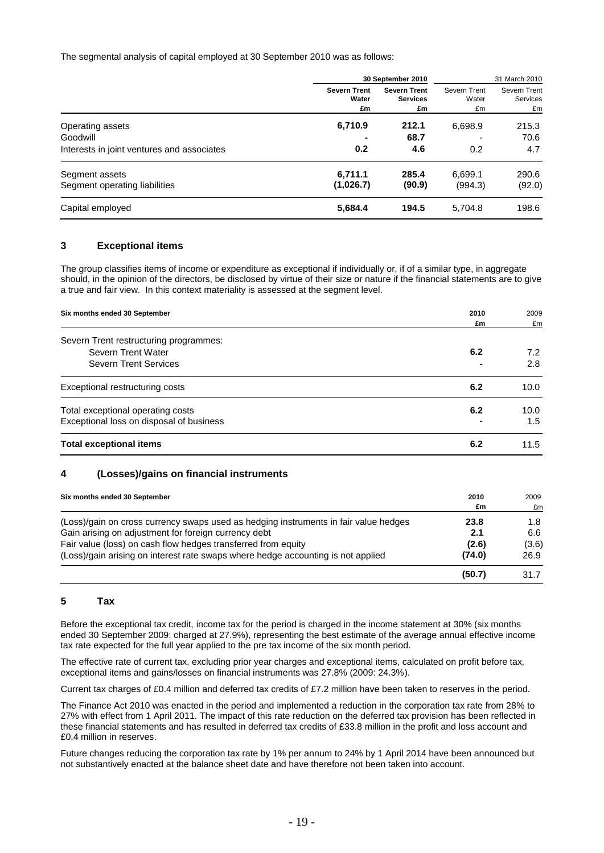The segmental analysis of capital employed at 30 September 2010 was as follows:

|                                                 | 30 September 2010            |                                        |                       | 31 March 2010                   |
|-------------------------------------------------|------------------------------|----------------------------------------|-----------------------|---------------------------------|
|                                                 | <b>Severn Trent</b><br>Water | <b>Severn Trent</b><br><b>Services</b> | Severn Trent<br>Water | Severn Trent<br><b>Services</b> |
|                                                 | £m                           | £m                                     | £m                    | £m                              |
| Operating assets                                | 6,710.9                      | 212.1                                  | 6,698.9               | 215.3                           |
| Goodwill                                        |                              | 68.7                                   |                       | 70.6                            |
| Interests in joint ventures and associates      | 0.2                          | 4.6                                    | 0.2                   | 4.7                             |
| Segment assets<br>Segment operating liabilities | 6,711.1<br>(1,026.7)         | 285.4<br>(90.9)                        | 6.699.1<br>(994.3)    | 290.6<br>(92.0)                 |
| Capital employed                                | 5,684.4                      | 194.5                                  | 5,704.8               | 198.6                           |

#### **3 Exceptional items**

The group classifies items of income or expenditure as exceptional if individually or, if of a similar type, in aggregate should, in the opinion of the directors, be disclosed by virtue of their size or nature if the financial statements are to give a true and fair view. In this context materiality is assessed at the segment level.

| Six months ended 30 September            | 2010 | 2009 |
|------------------------------------------|------|------|
|                                          | £m   | £m   |
| Severn Trent restructuring programmes:   |      |      |
| Severn Trent Water                       | 6.2  | 7.2  |
| <b>Severn Trent Services</b>             |      | 2.8  |
| Exceptional restructuring costs          | 6.2  | 10.0 |
| Total exceptional operating costs        | 6.2  | 10.0 |
| Exceptional loss on disposal of business |      | 1.5  |
| <b>Total exceptional items</b>           | 6.2  | 11.5 |

#### **4 (Losses)/gains on financial instruments**

| Six months ended 30 September                                                        | 2010<br>£m | 2009<br>£m |
|--------------------------------------------------------------------------------------|------------|------------|
| (Loss)/gain on cross currency swaps used as hedging instruments in fair value hedges | 23.8       | 1.8        |
| Gain arising on adjustment for foreign currency debt                                 | 2.1        | 6.6        |
| Fair value (loss) on cash flow hedges transferred from equity                        | (2.6)      | (3.6)      |
| (Loss)/gain arising on interest rate swaps where hedge accounting is not applied     | (74.0)     | 26.9       |
|                                                                                      | (50.7)     | 31.7       |

#### **5 Tax**

Before the exceptional tax credit, income tax for the period is charged in the income statement at 30% (six months ended 30 September 2009: charged at 27.9%), representing the best estimate of the average annual effective income tax rate expected for the full year applied to the pre tax income of the six month period.

The effective rate of current tax, excluding prior year charges and exceptional items, calculated on profit before tax, exceptional items and gains/losses on financial instruments was 27.8% (2009: 24.3%).

Current tax charges of £0.4 million and deferred tax credits of £7.2 million have been taken to reserves in the period.

The Finance Act 2010 was enacted in the period and implemented a reduction in the corporation tax rate from 28% to 27% with effect from 1 April 2011. The impact of this rate reduction on the deferred tax provision has been reflected in these financial statements and has resulted in deferred tax credits of £33.8 million in the profit and loss account and £0.4 million in reserves.

Future changes reducing the corporation tax rate by 1% per annum to 24% by 1 April 2014 have been announced but not substantively enacted at the balance sheet date and have therefore not been taken into account.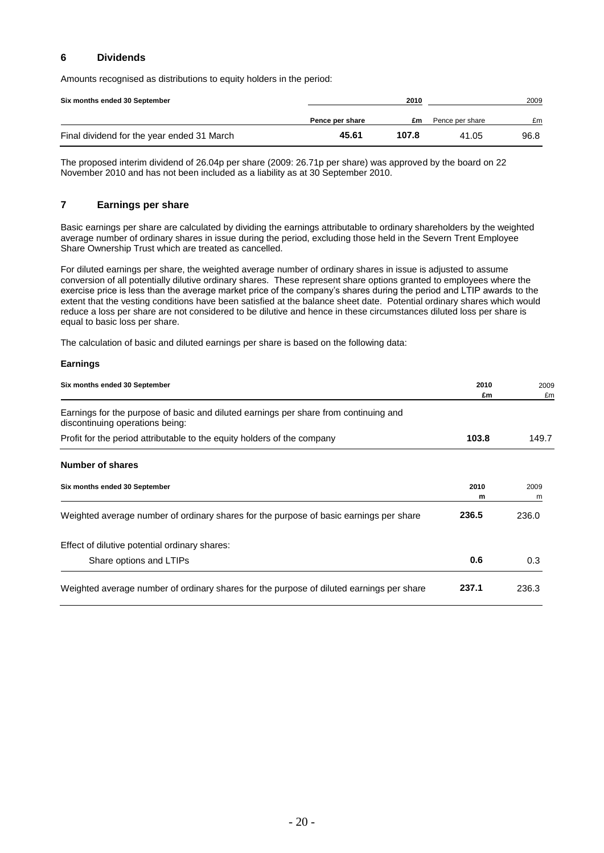#### **6 Dividends**

Amounts recognised as distributions to equity holders in the period:

| Six months ended 30 September              | 2010            |       |                 | 2009 |
|--------------------------------------------|-----------------|-------|-----------------|------|
|                                            | Pence per share | £m    | Pence per share | £m   |
| Final dividend for the year ended 31 March | 45.61           | 107.8 | 41.05           | 96.8 |

The proposed interim dividend of 26.04p per share (2009: 26.71p per share) was approved by the board on 22 November 2010 and has not been included as a liability as at 30 September 2010.

#### **7 Earnings per share**

Basic earnings per share are calculated by dividing the earnings attributable to ordinary shareholders by the weighted average number of ordinary shares in issue during the period, excluding those held in the Severn Trent Employee Share Ownership Trust which are treated as cancelled.

For diluted earnings per share, the weighted average number of ordinary shares in issue is adjusted to assume conversion of all potentially dilutive ordinary shares. These represent share options granted to employees where the exercise price is less than the average market price of the company's shares during the period and LTIP awards to the extent that the vesting conditions have been satisfied at the balance sheet date. Potential ordinary shares which would reduce a loss per share are not considered to be dilutive and hence in these circumstances diluted loss per share is equal to basic loss per share.

The calculation of basic and diluted earnings per share is based on the following data:

#### **Earnings**

| Six months ended 30 September                                                                                           | 2010<br>£m | 2009<br>£m |
|-------------------------------------------------------------------------------------------------------------------------|------------|------------|
| Earnings for the purpose of basic and diluted earnings per share from continuing and<br>discontinuing operations being: |            |            |
| Profit for the period attributable to the equity holders of the company                                                 | 103.8      | 149.7      |
| Number of shares                                                                                                        |            |            |
| Six months ended 30 September                                                                                           | 2010<br>m  | 2009<br>m  |
| Weighted average number of ordinary shares for the purpose of basic earnings per share                                  | 236.5      | 236.0      |
| Effect of dilutive potential ordinary shares:                                                                           |            |            |
| Share options and LTIPs                                                                                                 | 0.6        | 0.3        |
| Weighted average number of ordinary shares for the purpose of diluted earnings per share                                | 237.1      | 236.3      |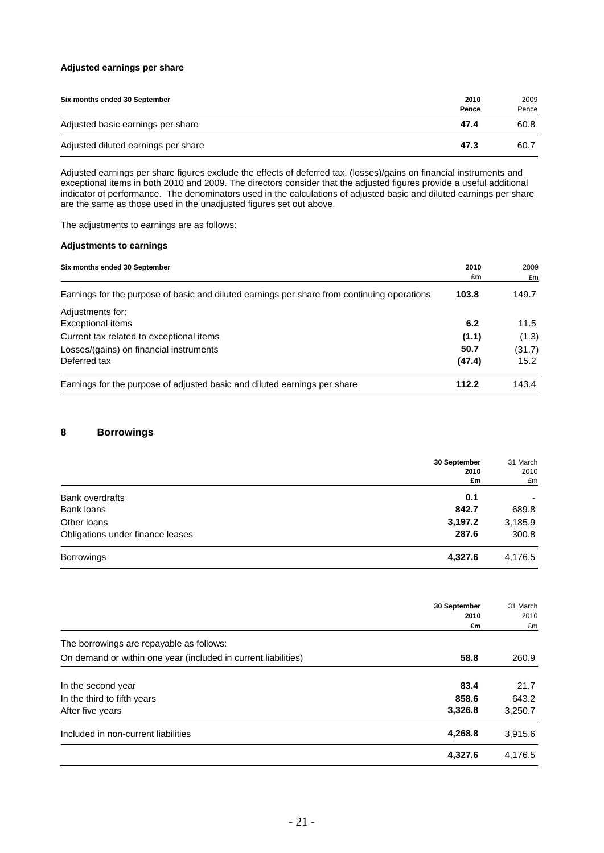#### **Adjusted earnings per share**

| Six months ended 30 September       | 2010<br>Pence | 2009<br>Pence |
|-------------------------------------|---------------|---------------|
| Adjusted basic earnings per share   | 47.4          | 60.8          |
| Adjusted diluted earnings per share | 47.3          | 60.7          |

Adjusted earnings per share figures exclude the effects of deferred tax, (losses)/gains on financial instruments and exceptional items in both 2010 and 2009. The directors consider that the adjusted figures provide a useful additional indicator of performance. The denominators used in the calculations of adjusted basic and diluted earnings per share are the same as those used in the unadjusted figures set out above.

The adjustments to earnings are as follows:

### **Adjustments to earnings**

| Six months ended 30 September                                                               | 2010<br>£m | 2009<br>£m |
|---------------------------------------------------------------------------------------------|------------|------------|
| Earnings for the purpose of basic and diluted earnings per share from continuing operations | 103.8      | 149.7      |
| Adjustments for:                                                                            |            |            |
| Exceptional items                                                                           | 6.2        | 11.5       |
| Current tax related to exceptional items                                                    | (1.1)      | (1.3)      |
| Losses/(gains) on financial instruments                                                     | 50.7       | (31.7)     |
| Deferred tax                                                                                | (47.4)     | 15.2       |
| Earnings for the purpose of adjusted basic and diluted earnings per share                   | 112.2      | 143.4      |

### **8 Borrowings**

|                                  | 30 September<br>2010<br>£m | 31 March<br>2010<br>£m |
|----------------------------------|----------------------------|------------------------|
| <b>Bank overdrafts</b>           | 0.1                        |                        |
| Bank loans                       | 842.7                      | 689.8                  |
| Other Ioans                      | 3,197.2                    | 3,185.9                |
| Obligations under finance leases | 287.6                      | 300.8                  |
| Borrowings                       | 4,327.6                    | 4,176.5                |

|                                                                | 31 March<br>30 September<br>2010<br>2010<br>£m<br>£m |         |
|----------------------------------------------------------------|------------------------------------------------------|---------|
|                                                                |                                                      |         |
| The borrowings are repayable as follows:                       |                                                      |         |
| On demand or within one year (included in current liabilities) | 58.8                                                 | 260.9   |
| In the second year                                             | 83.4                                                 | 21.7    |
| In the third to fifth years                                    | 858.6                                                | 643.2   |
| After five years                                               | 3,326.8                                              | 3,250.7 |
| Included in non-current liabilities                            | 4,268.8                                              | 3,915.6 |
|                                                                | 4,327.6                                              | 4,176.5 |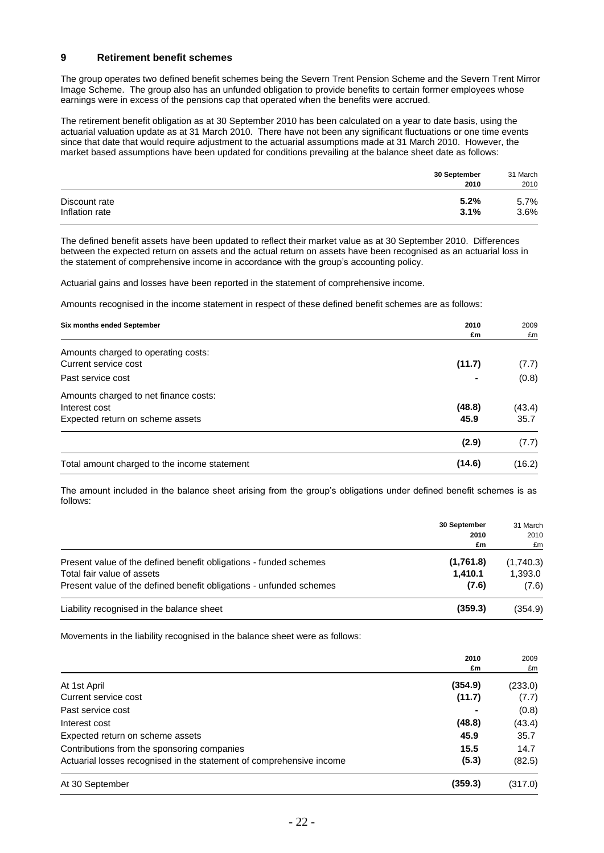#### **9 Retirement benefit schemes**

The group operates two defined benefit schemes being the Severn Trent Pension Scheme and the Severn Trent Mirror Image Scheme. The group also has an unfunded obligation to provide benefits to certain former employees whose earnings were in excess of the pensions cap that operated when the benefits were accrued.

The retirement benefit obligation as at 30 September 2010 has been calculated on a year to date basis, using the actuarial valuation update as at 31 March 2010. There have not been any significant fluctuations or one time events since that date that would require adjustment to the actuarial assumptions made at 31 March 2010. However, the market based assumptions have been updated for conditions prevailing at the balance sheet date as follows:

|                | 30 September<br>2010 | 31 March<br>2010 |
|----------------|----------------------|------------------|
| Discount rate  | $5.2\%$              | 5.7%             |
| Inflation rate | 3.1%                 | 3.6%             |

The defined benefit assets have been updated to reflect their market value as at 30 September 2010. Differences between the expected return on assets and the actual return on assets have been recognised as an actuarial loss in the statement of comprehensive income in accordance with the group's accounting policy.

Actuarial gains and losses have been reported in the statement of comprehensive income.

Amounts recognised in the income statement in respect of these defined benefit schemes are as follows:

| <b>Six months ended September</b>                                                          | 2010<br>£m     | 2009<br>£m     |
|--------------------------------------------------------------------------------------------|----------------|----------------|
| Amounts charged to operating costs:<br>Current service cost                                | (11.7)         | (7.7)          |
| Past service cost                                                                          |                | (0.8)          |
| Amounts charged to net finance costs:<br>Interest cost<br>Expected return on scheme assets | (48.8)<br>45.9 | (43.4)<br>35.7 |
|                                                                                            | (2.9)          | (7.7)          |
| Total amount charged to the income statement                                               | (14.6)         | (16.2)         |

The amount included in the balance sheet arising from the group's obligations under defined benefit schemes is as follows:

|                                                                                                                                                                        | 30 September<br>2010<br>£m    | 31 March<br>2010<br>£m        |
|------------------------------------------------------------------------------------------------------------------------------------------------------------------------|-------------------------------|-------------------------------|
| Present value of the defined benefit obligations - funded schemes<br>Total fair value of assets<br>Present value of the defined benefit obligations - unfunded schemes | (1,761.8)<br>1.410.1<br>(7.6) | (1,740.3)<br>1,393.0<br>(7.6) |
| Liability recognised in the balance sheet                                                                                                                              | (359.3)                       | (354.9)                       |

Movements in the liability recognised in the balance sheet were as follows:

|                                                                      | 2010    | 2009    |
|----------------------------------------------------------------------|---------|---------|
|                                                                      | £m      | £m      |
| At 1st April                                                         | (354.9) | (233.0) |
| Current service cost                                                 | (11.7)  | (7.7)   |
| Past service cost                                                    |         | (0.8)   |
| Interest cost                                                        | (48.8)  | (43.4)  |
| Expected return on scheme assets                                     | 45.9    | 35.7    |
| Contributions from the sponsoring companies                          | 15.5    | 14.7    |
| Actuarial losses recognised in the statement of comprehensive income | (5.3)   | (82.5)  |
| At 30 September                                                      | (359.3) | (317.0) |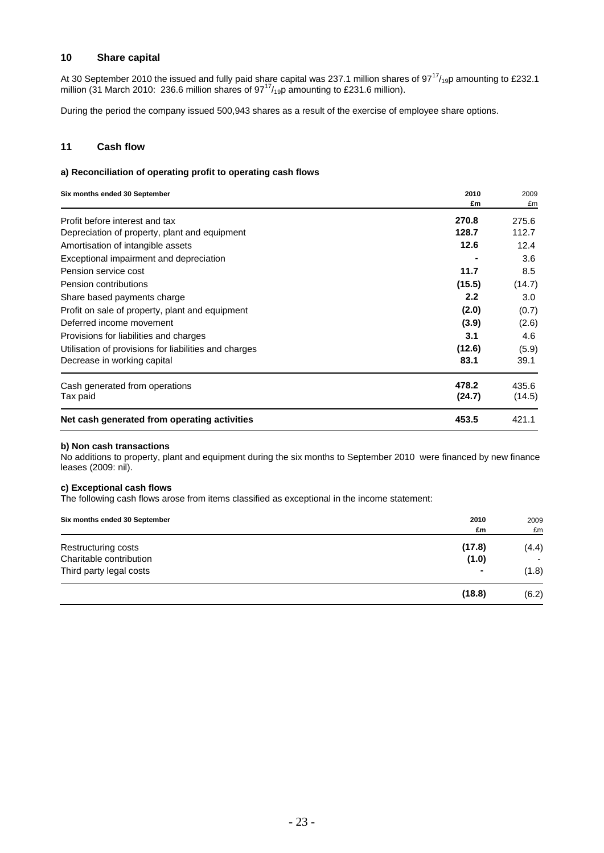### **10 Share capital**

At 30 September 2010 the issued and fully paid share capital was 237.1 million shares of 97<sup>17</sup>/<sub>19</sub>p amounting to £232.1 million (31 March 2010: 236.6 million shares of  $97^{17}/_{19}$ p amounting to £231.6 million).

During the period the company issued 500,943 shares as a result of the exercise of employee share options.

### **11 Cash flow**

### **a) Reconciliation of operating profit to operating cash flows**

| Six months ended 30 September                         | 2010<br>£m       | 2009<br>£m       |
|-------------------------------------------------------|------------------|------------------|
| Profit before interest and tax                        | 270.8            | 275.6            |
| Depreciation of property, plant and equipment         | 128.7            | 112.7            |
| Amortisation of intangible assets                     | 12.6             | 12.4             |
| Exceptional impairment and depreciation               |                  | 3.6              |
| Pension service cost                                  | 11.7             | 8.5              |
| Pension contributions                                 | (15.5)           | (14.7)           |
| Share based payments charge                           | $2.2\phantom{0}$ | 3.0 <sub>2</sub> |
| Profit on sale of property, plant and equipment       | (2.0)            | (0.7)            |
| Deferred income movement                              | (3.9)            | (2.6)            |
| Provisions for liabilities and charges                | 3.1              | 4.6              |
| Utilisation of provisions for liabilities and charges | (12.6)           | (5.9)            |
| Decrease in working capital                           | 83.1             | 39.1             |
| Cash generated from operations<br>Tax paid            | 478.2<br>(24.7)  | 435.6<br>(14.5)  |
| Net cash generated from operating activities          | 453.5            | 421.1            |

#### **b) Non cash transactions**

No additions to property, plant and equipment during the six months to September 2010 were financed by new finance leases (2009: nil).

#### **c) Exceptional cash flows**

The following cash flows arose from items classified as exceptional in the income statement:

| Six months ended 30 September | 2010<br>£m     | 2009<br>£m |
|-------------------------------|----------------|------------|
| Restructuring costs           | (17.8)         | (4.4)      |
| Charitable contribution       | (1.0)          | -          |
| Third party legal costs       | $\blacksquare$ | (1.8)      |
|                               | (18.8)         | (6.2)      |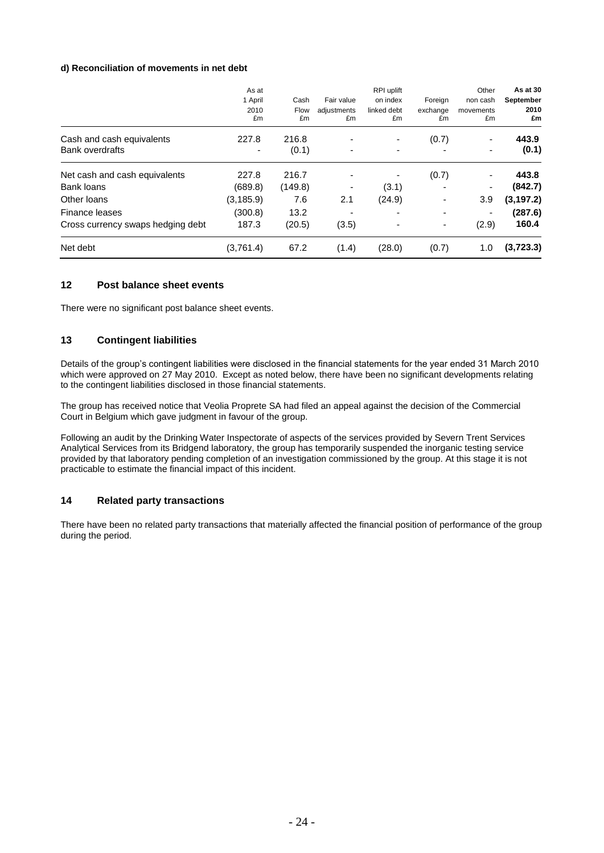#### **d) Reconciliation of movements in net debt**

|                                                     | As at<br>1 April<br>2010<br>£m | Cash<br>Flow<br>£m | Fair value<br>adjustments<br>£m | RPI uplift<br>on index<br>linked debt<br>£m | Foreign<br>exchange<br>£m | Other<br>non cash<br>movements<br>£m | As at 30<br>September<br>2010<br>£m |
|-----------------------------------------------------|--------------------------------|--------------------|---------------------------------|---------------------------------------------|---------------------------|--------------------------------------|-------------------------------------|
| Cash and cash equivalents<br><b>Bank overdrafts</b> | 227.8                          | 216.8<br>(0.1)     |                                 | ۰<br>۰                                      | (0.7)<br>٠                | $\overline{\phantom{a}}$<br>۰        | 443.9<br>(0.1)                      |
| Net cash and cash equivalents<br>Bank loans         | 227.8<br>(689.8)               | 216.7<br>(149.8)   |                                 | (3.1)                                       | (0.7)                     | ٠<br>$\overline{\phantom{a}}$        | 443.8<br>(842.7)                    |
| Other loans                                         | (3, 185.9)                     | 7.6                | 2.1                             | (24.9)                                      | $\overline{\phantom{a}}$  | 3.9                                  | (3, 197.2)                          |
| Finance leases                                      | (300.8)                        | 13.2               |                                 | $\overline{\phantom{0}}$                    | ۰                         | ٠                                    | (287.6)                             |
| Cross currency swaps hedging debt                   | 187.3                          | (20.5)             | (3.5)                           |                                             | ۰                         | (2.9)                                | 160.4                               |
| Net debt                                            | (3,761.4)                      | 67.2               | (1.4)                           | (28.0)                                      | (0.7)                     | 1.0                                  | (3,723.3)                           |

### **12 Post balance sheet events**

There were no significant post balance sheet events.

#### **13 Contingent liabilities**

Details of the group's contingent liabilities were disclosed in the financial statements for the year ended 31 March 2010 which were approved on 27 May 2010. Except as noted below, there have been no significant developments relating to the contingent liabilities disclosed in those financial statements.

The group has received notice that Veolia Proprete SA had filed an appeal against the decision of the Commercial Court in Belgium which gave judgment in favour of the group.

Following an audit by the Drinking Water Inspectorate of aspects of the services provided by Severn Trent Services Analytical Services from its Bridgend laboratory, the group has temporarily suspended the inorganic testing service provided by that laboratory pending completion of an investigation commissioned by the group. At this stage it is not practicable to estimate the financial impact of this incident.

#### **14 Related party transactions**

There have been no related party transactions that materially affected the financial position of performance of the group during the period.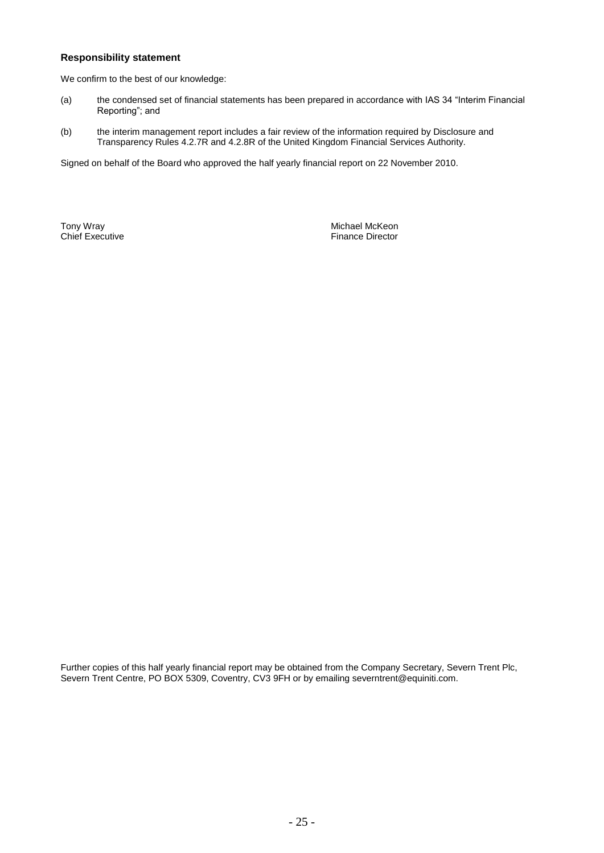### **Responsibility statement**

We confirm to the best of our knowledge:

- (a) the condensed set of financial statements has been prepared in accordance with IAS 34 "Interim Financial Reporting"; and
- (b) the interim management report includes a fair review of the information required by Disclosure and Transparency Rules 4.2.7R and 4.2.8R of the United Kingdom Financial Services Authority.

Signed on behalf of the Board who approved the half yearly financial report on 22 November 2010.

Chief Executive

Tony Wray **The Contract of Contract Contract Contract Contract Contract Contract Contract Contract Contract Contract Contract Contract Contract Contract Contract Contract Contract Contract Contract Contract Contract Contra** 

Further copies of this half yearly financial report may be obtained from the Company Secretary, Severn Trent Plc, Severn Trent Centre, PO BOX 5309, Coventry, CV3 9FH or by emailing severntrent@equiniti.com.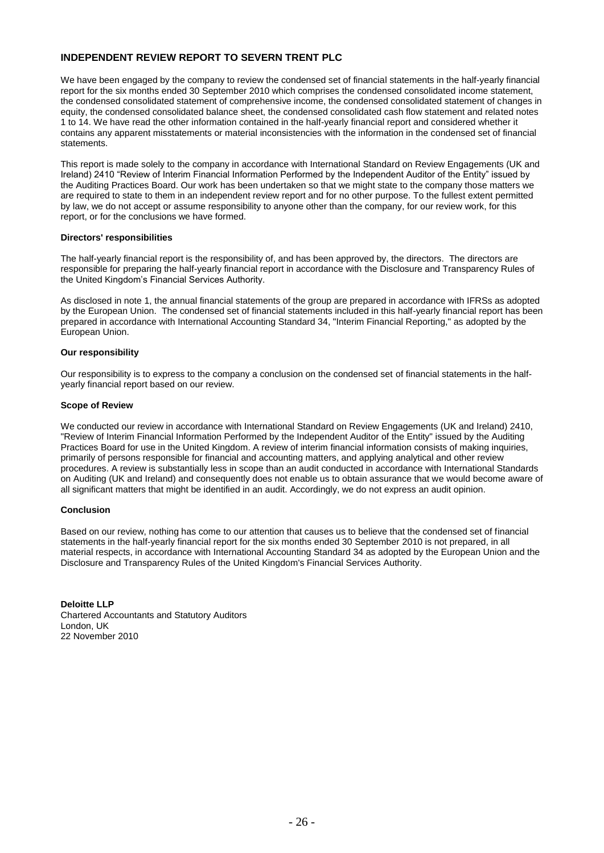### **INDEPENDENT REVIEW REPORT TO SEVERN TRENT PLC**

We have been engaged by the company to review the condensed set of financial statements in the half-yearly financial report for the six months ended 30 September 2010 which comprises the condensed consolidated income statement, the condensed consolidated statement of comprehensive income, the condensed consolidated statement of changes in equity, the condensed consolidated balance sheet, the condensed consolidated cash flow statement and related notes 1 to 14. We have read the other information contained in the half-yearly financial report and considered whether it contains any apparent misstatements or material inconsistencies with the information in the condensed set of financial statements.

This report is made solely to the company in accordance with International Standard on Review Engagements (UK and Ireland) 2410 "Review of Interim Financial Information Performed by the Independent Auditor of the Entity" issued by the Auditing Practices Board. Our work has been undertaken so that we might state to the company those matters we are required to state to them in an independent review report and for no other purpose. To the fullest extent permitted by law, we do not accept or assume responsibility to anyone other than the company, for our review work, for this report, or for the conclusions we have formed.

#### **Directors' responsibilities**

The half-yearly financial report is the responsibility of, and has been approved by, the directors. The directors are responsible for preparing the half-yearly financial report in accordance with the Disclosure and Transparency Rules of the United Kingdom's Financial Services Authority.

As disclosed in note 1, the annual financial statements of the group are prepared in accordance with IFRSs as adopted by the European Union. The condensed set of financial statements included in this half-yearly financial report has been prepared in accordance with International Accounting Standard 34, "Interim Financial Reporting," as adopted by the European Union.

#### **Our responsibility**

Our responsibility is to express to the company a conclusion on the condensed set of financial statements in the halfyearly financial report based on our review.

### **Scope of Review**

We conducted our review in accordance with International Standard on Review Engagements (UK and Ireland) 2410, "Review of Interim Financial Information Performed by the Independent Auditor of the Entity" issued by the Auditing Practices Board for use in the United Kingdom. A review of interim financial information consists of making inquiries, primarily of persons responsible for financial and accounting matters, and applying analytical and other review procedures. A review is substantially less in scope than an audit conducted in accordance with International Standards on Auditing (UK and Ireland) and consequently does not enable us to obtain assurance that we would become aware of all significant matters that might be identified in an audit. Accordingly, we do not express an audit opinion.

#### **Conclusion**

Based on our review, nothing has come to our attention that causes us to believe that the condensed set of financial statements in the half-yearly financial report for the six months ended 30 September 2010 is not prepared, in all material respects, in accordance with International Accounting Standard 34 as adopted by the European Union and the Disclosure and Transparency Rules of the United Kingdom's Financial Services Authority.

**Deloitte LLP** Chartered Accountants and Statutory Auditors London, UK 22 November 2010